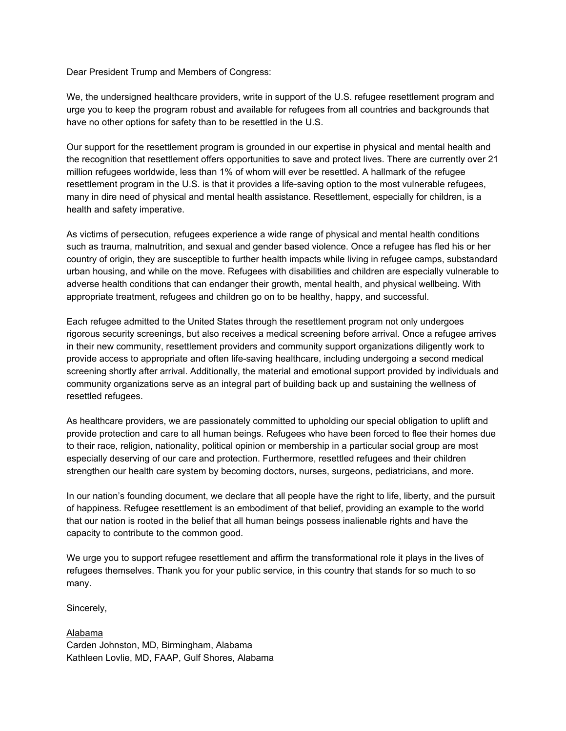Dear President Trump and Members of Congress:

We, the undersigned healthcare providers, write in support of the U.S. refugee resettlement program and urge you to keep the program robust and available for refugees from all countries and backgrounds that have no other options for safety than to be resettled in the U.S.

Our support for the resettlement program is grounded in our expertise in physical and mental health and the recognition that resettlement offers opportunities to save and protect lives. There are currently over 21 million refugees worldwide, less than 1% of whom will ever be resettled. A hallmark of the refugee resettlement program in the U.S. is that it provides a life-saving option to the most vulnerable refugees, many in dire need of physical and mental health assistance. Resettlement, especially for children, is a health and safety imperative.

As victims of persecution, refugees experience a wide range of physical and mental health conditions such as trauma, malnutrition, and sexual and gender based violence. Once a refugee has fled his or her country of origin, they are susceptible to further health impacts while living in refugee camps, substandard urban housing, and while on the move. Refugees with disabilities and children are especially vulnerable to adverse health conditions that can endanger their growth, mental health, and physical wellbeing. With appropriate treatment, refugees and children go on to be healthy, happy, and successful.

Each refugee admitted to the United States through the resettlement program not only undergoes rigorous security screenings, but also receives a medical screening before arrival. Once a refugee arrives in their new community, resettlement providers and community support organizations diligently work to provide access to appropriate and often life-saving healthcare, including undergoing a second medical screening shortly after arrival. Additionally, the material and emotional support provided by individuals and community organizations serve as an integral part of building back up and sustaining the wellness of resettled refugees.

As healthcare providers, we are passionately committed to upholding our special obligation to uplift and provide protection and care to all human beings. Refugees who have been forced to flee their homes due to their race, religion, nationality, political opinion or membership in a particular social group are most especially deserving of our care and protection. Furthermore, resettled refugees and their children strengthen our health care system by becoming doctors, nurses, surgeons, pediatricians, and more.

In our nation's founding document, we declare that all people have the right to life, liberty, and the pursuit of happiness. Refugee resettlement is an embodiment of that belief, providing an example to the world that our nation is rooted in the belief that all human beings possess inalienable rights and have the capacity to contribute to the common good.

We urge you to support refugee resettlement and affirm the transformational role it plays in the lives of refugees themselves. Thank you for your public service, in this country that stands for so much to so many.

Sincerely,

Alabama Carden Johnston, MD, Birmingham, Alabama Kathleen Lovlie, MD, FAAP, Gulf Shores, Alabama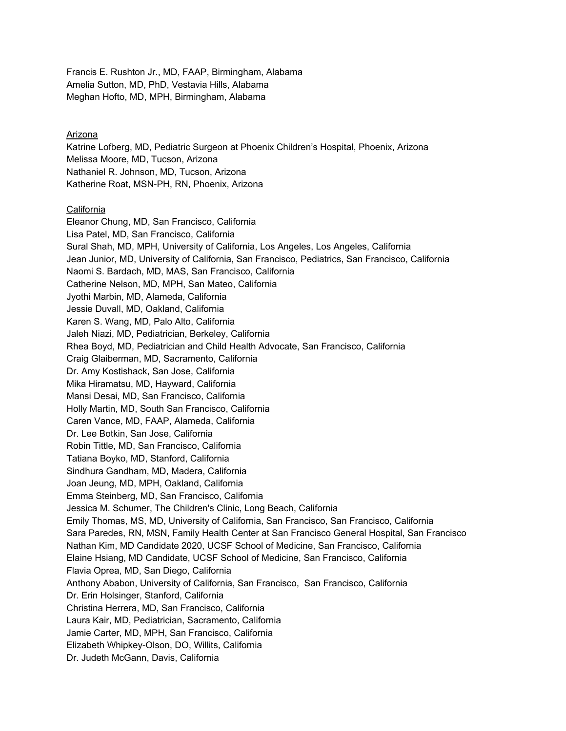Francis E. Rushton Jr., MD, FAAP, Birmingham, Alabama Amelia Sutton, MD, PhD, Vestavia Hills, Alabama Meghan Hofto, MD, MPH, Birmingham, Alabama

# Arizona

Katrine Lofberg, MD, Pediatric Surgeon at Phoenix Children's Hospital, Phoenix, Arizona Melissa Moore, MD, Tucson, Arizona Nathaniel R. Johnson, MD, Tucson, Arizona Katherine Roat, MSN-PH, RN, Phoenix, Arizona

## California

Eleanor Chung, MD, San Francisco, California Lisa Patel, MD, San Francisco, California Sural Shah, MD, MPH, University of California, Los Angeles, Los Angeles, California Jean Junior, MD, University of California, San Francisco, Pediatrics, San Francisco, California Naomi S. Bardach, MD, MAS, San Francisco, California Catherine Nelson, MD, MPH, San Mateo, California Jyothi Marbin, MD, Alameda, California Jessie Duvall, MD, Oakland, California Karen S. Wang, MD, Palo Alto, California Jaleh Niazi, MD, Pediatrician, Berkeley, California Rhea Boyd, MD, Pediatrician and Child Health Advocate, San Francisco, California Craig Glaiberman, MD, Sacramento, California Dr. Amy Kostishack, San Jose, California Mika Hiramatsu, MD, Hayward, California Mansi Desai, MD, San Francisco, California Holly Martin, MD, South San Francisco, California Caren Vance, MD, FAAP, Alameda, California Dr. Lee Botkin, San Jose, California Robin Tittle, MD, San Francisco, California Tatiana Boyko, MD, Stanford, California Sindhura Gandham, MD, Madera, California Joan Jeung, MD, MPH, Oakland, California Emma Steinberg, MD, San Francisco, California Jessica M. Schumer, The Children's Clinic, Long Beach, California Emily Thomas, MS, MD, University of California, San Francisco, San Francisco, California Sara Paredes, RN, MSN, Family Health Center at San Francisco General Hospital, San Francisco Nathan Kim, MD Candidate 2020, UCSF School of Medicine, San Francisco, California Elaine Hsiang, MD Candidate, UCSF School of Medicine, San Francisco, California Flavia Oprea, MD, San Diego, California Anthony Ababon, University of California, San Francisco, San Francisco, California Dr. Erin Holsinger, Stanford, California Christina Herrera, MD, San Francisco, California Laura Kair, MD, Pediatrician, Sacramento, California Jamie Carter, MD, MPH, San Francisco, California Elizabeth Whipkey-Olson, DO, Willits, California Dr. Judeth McGann, Davis, California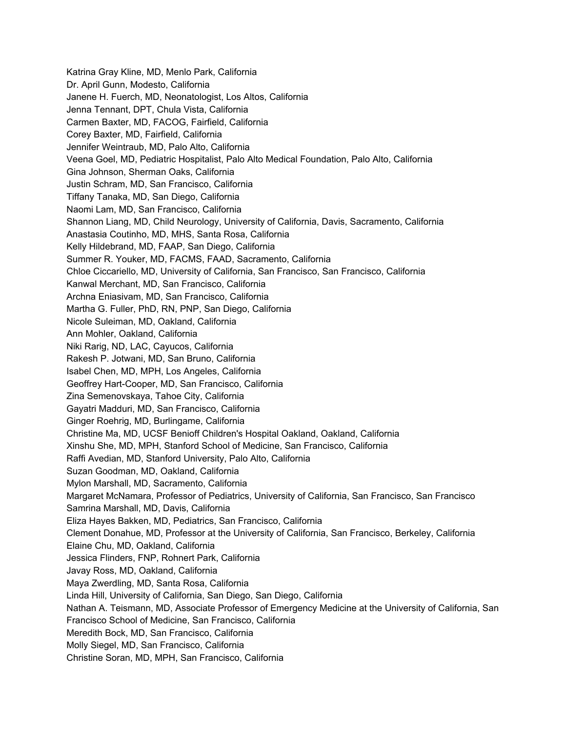Katrina Gray Kline, MD, Menlo Park, California Dr. April Gunn, Modesto, California Janene H. Fuerch, MD, Neonatologist, Los Altos, California Jenna Tennant, DPT, Chula Vista, California Carmen Baxter, MD, FACOG, Fairfield, California Corey Baxter, MD, Fairfield, California Jennifer Weintraub, MD, Palo Alto, California Veena Goel, MD, Pediatric Hospitalist, Palo Alto Medical Foundation, Palo Alto, California Gina Johnson, Sherman Oaks, California Justin Schram, MD, San Francisco, California Tiffany Tanaka, MD, San Diego, California Naomi Lam, MD, San Francisco, California Shannon Liang, MD, Child Neurology, University of California, Davis, Sacramento, California Anastasia Coutinho, MD, MHS, Santa Rosa, California Kelly Hildebrand, MD, FAAP, San Diego, California Summer R. Youker, MD, FACMS, FAAD, Sacramento, California Chloe Ciccariello, MD, University of California, San Francisco, San Francisco, California Kanwal Merchant, MD, San Francisco, California Archna Eniasivam, MD, San Francisco, California Martha G. Fuller, PhD, RN, PNP, San Diego, California Nicole Suleiman, MD, Oakland, California Ann Mohler, Oakland, California Niki Rarig, ND, LAC, Cayucos, California Rakesh P. Jotwani, MD, San Bruno, California Isabel Chen, MD, MPH, Los Angeles, California Geoffrey Hart-Cooper, MD, San Francisco, California Zina Semenovskaya, Tahoe City, California Gayatri Madduri, MD, San Francisco, California Ginger Roehrig, MD, Burlingame, California Christine Ma, MD, UCSF Benioff Children's Hospital Oakland, Oakland, California Xinshu She, MD, MPH, Stanford School of Medicine, San Francisco, California Raffi Avedian, MD, Stanford University, Palo Alto, California Suzan Goodman, MD, Oakland, California Mylon Marshall, MD, Sacramento, California Margaret McNamara, Professor of Pediatrics, University of California, San Francisco, San Francisco Samrina Marshall, MD, Davis, California Eliza Hayes Bakken, MD, Pediatrics, San Francisco, California Clement Donahue, MD, Professor at the University of California, San Francisco, Berkeley, California Elaine Chu, MD, Oakland, California Jessica Flinders, FNP, Rohnert Park, California Javay Ross, MD, Oakland, California Maya Zwerdling, MD, Santa Rosa, California Linda Hill, University of California, San Diego, San Diego, California Nathan A. Teismann, MD, Associate Professor of Emergency Medicine at the University of California, San Francisco School of Medicine, San Francisco, California Meredith Bock, MD, San Francisco, California Molly Siegel, MD, San Francisco, California Christine Soran, MD, MPH, San Francisco, California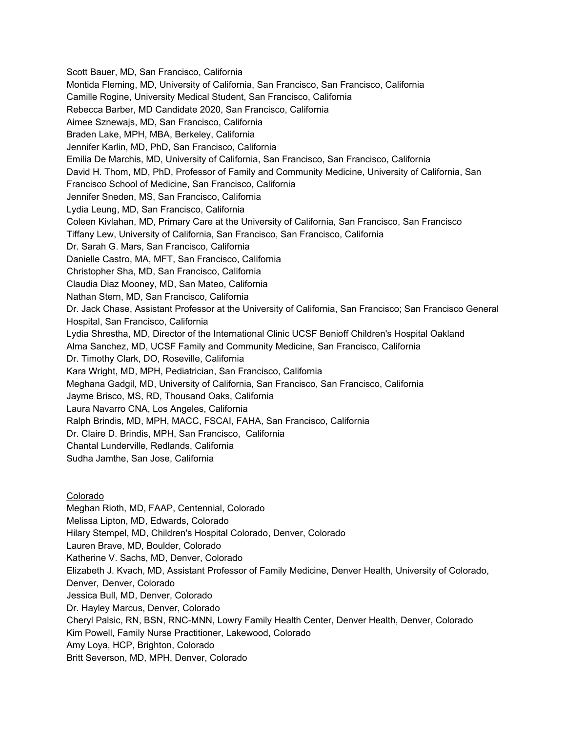Scott Bauer, MD, San Francisco, California Montida Fleming, MD, University of California, San Francisco, San Francisco, California Camille Rogine, University Medical Student, San Francisco, California Rebecca Barber, MD Candidate 2020, San Francisco, California Aimee Sznewajs, MD, San Francisco, California Braden Lake, MPH, MBA, Berkeley, California Jennifer Karlin, MD, PhD, San Francisco, California Emilia De Marchis, MD, University of California, San Francisco, San Francisco, California David H. Thom, MD, PhD, Professor of Family and Community Medicine, University of California, San Francisco School of Medicine, San Francisco, California Jennifer Sneden, MS, San Francisco, California Lydia Leung, MD, San Francisco, California Coleen Kivlahan, MD, Primary Care at the University of California, San Francisco, San Francisco Tiffany Lew, University of California, San Francisco, San Francisco, California Dr. Sarah G. Mars, San Francisco, California Danielle Castro, MA, MFT, San Francisco, California Christopher Sha, MD, San Francisco, California Claudia Diaz Mooney, MD, San Mateo, California Nathan Stern, MD, San Francisco, California Dr. Jack Chase, Assistant Professor at the University of California, San Francisco; San Francisco General Hospital, San Francisco, California Lydia Shrestha, MD, Director of the International Clinic UCSF Benioff Children's Hospital Oakland Alma Sanchez, MD, UCSF Family and Community Medicine, San Francisco, California Dr. Timothy Clark, DO, Roseville, California Kara Wright, MD, MPH, Pediatrician, San Francisco, California Meghana Gadgil, MD, University of California, San Francisco, San Francisco, California Jayme Brisco, MS, RD, Thousand Oaks, California Laura Navarro CNA, Los Angeles, California Ralph Brindis, MD, MPH, MACC, FSCAI, FAHA, San Francisco, California Dr. Claire D. Brindis, MPH, San Francisco, California Chantal Lunderville, Redlands, California Sudha Jamthe, San Jose, California

## Colorado

Meghan Rioth, MD, FAAP, Centennial, Colorado Melissa Lipton, MD, Edwards, Colorado Hilary Stempel, MD, Children's Hospital Colorado, Denver, Colorado Lauren Brave, MD, Boulder, Colorado Katherine V. Sachs, MD, Denver, Colorado Elizabeth J. Kvach, MD, Assistant Professor of Family Medicine, Denver Health, University of Colorado, Denver, Denver, Colorado Jessica Bull, MD, Denver, Colorado Dr. Hayley Marcus, Denver, Colorado Cheryl Palsic, RN, BSN, RNC-MNN, Lowry Family Health Center, Denver Health, Denver, Colorado Kim Powell, Family Nurse Practitioner, Lakewood, Colorado Amy Loya, HCP, Brighton, Colorado Britt Severson, MD, MPH, Denver, Colorado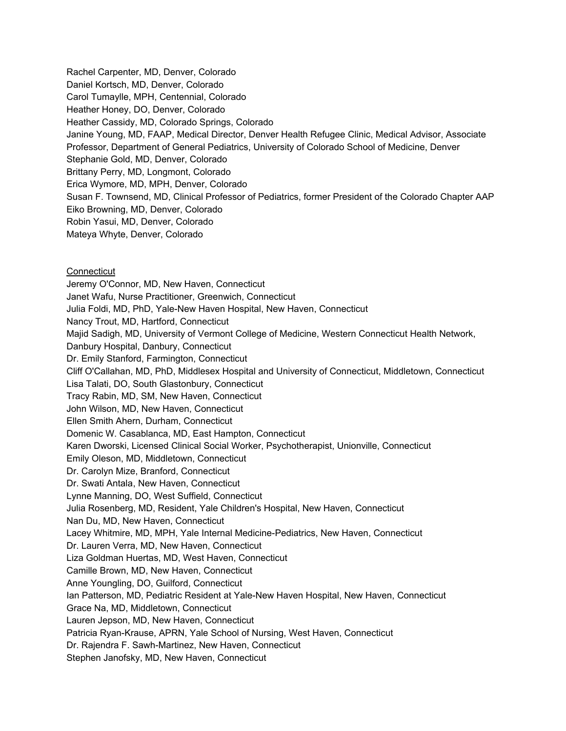Rachel Carpenter, MD, Denver, Colorado Daniel Kortsch, MD, Denver, Colorado Carol Tumaylle, MPH, Centennial, Colorado Heather Honey, DO, Denver, Colorado Heather Cassidy, MD, Colorado Springs, Colorado Janine Young, MD, FAAP, Medical Director, Denver Health Refugee Clinic, Medical Advisor, Associate Professor, Department of General Pediatrics, University of Colorado School of Medicine, Denver Stephanie Gold, MD, Denver, Colorado Brittany Perry, MD, Longmont, Colorado Erica Wymore, MD, MPH, Denver, Colorado Susan F. Townsend, MD, Clinical Professor of Pediatrics, former President of the Colorado Chapter AAP Eiko Browning, MD, Denver, Colorado Robin Yasui, MD, Denver, Colorado Mateya Whyte, Denver, Colorado

**Connecticut** 

Jeremy O'Connor, MD, New Haven, Connecticut Janet Wafu, Nurse Practitioner, Greenwich, Connecticut Julia Foldi, MD, PhD, Yale-New Haven Hospital, New Haven, Connecticut Nancy Trout, MD, Hartford, Connecticut Majid Sadigh, MD, University of Vermont College of Medicine, Western Connecticut Health Network, Danbury Hospital, Danbury, Connecticut Dr. Emily Stanford, Farmington, Connecticut Cliff O'Callahan, MD, PhD, Middlesex Hospital and University of Connecticut, Middletown, Connecticut Lisa Talati, DO, South Glastonbury, Connecticut Tracy Rabin, MD, SM, New Haven, Connecticut John Wilson, MD, New Haven, Connecticut Ellen Smith Ahern, Durham, Connecticut Domenic W. Casablanca, MD, East Hampton, Connecticut Karen Dworski, Licensed Clinical Social Worker, Psychotherapist, Unionville, Connecticut Emily Oleson, MD, Middletown, Connecticut Dr. Carolyn Mize, Branford, Connecticut Dr. Swati Antala, New Haven, Connecticut Lynne Manning, DO, West Suffield, Connecticut Julia Rosenberg, MD, Resident, Yale Children's Hospital, New Haven, Connecticut Nan Du, MD, New Haven, Connecticut Lacey Whitmire, MD, MPH, Yale Internal Medicine-Pediatrics, New Haven, Connecticut Dr. Lauren Verra, MD, New Haven, Connecticut Liza Goldman Huertas, MD, West Haven, Connecticut Camille Brown, MD, New Haven, Connecticut Anne Youngling, DO, Guilford, Connecticut Ian Patterson, MD, Pediatric Resident at Yale-New Haven Hospital, New Haven, Connecticut Grace Na, MD, Middletown, Connecticut Lauren Jepson, MD, New Haven, Connecticut Patricia Ryan-Krause, APRN, Yale School of Nursing, West Haven, Connecticut Dr. Rajendra F. Sawh-Martinez, New Haven, Connecticut Stephen Janofsky, MD, New Haven, Connecticut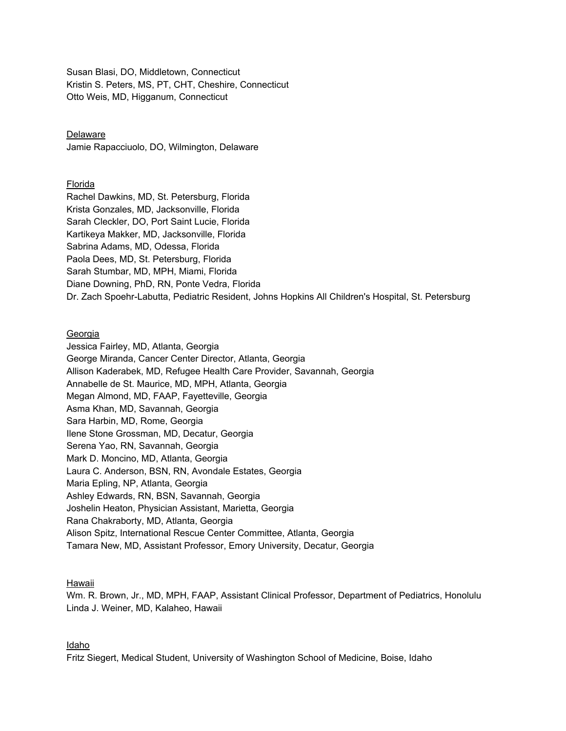Susan Blasi, DO, Middletown, Connecticut Kristin S. Peters, MS, PT, CHT, Cheshire, Connecticut Otto Weis, MD, Higganum, Connecticut

# Delaware

Jamie Rapacciuolo, DO, Wilmington, Delaware

## Florida

Rachel Dawkins, MD, St. Petersburg, Florida Krista Gonzales, MD, Jacksonville, Florida Sarah Cleckler, DO, Port Saint Lucie, Florida Kartikeya Makker, MD, Jacksonville, Florida Sabrina Adams, MD, Odessa, Florida Paola Dees, MD, St. Petersburg, Florida Sarah Stumbar, MD, MPH, Miami, Florida Diane Downing, PhD, RN, Ponte Vedra, Florida Dr. Zach Spoehr-Labutta, Pediatric Resident, Johns Hopkins All Children's Hospital, St. Petersburg

# Georgia

Jessica Fairley, MD, Atlanta, Georgia George Miranda, Cancer Center Director, Atlanta, Georgia Allison Kaderabek, MD, Refugee Health Care Provider, Savannah, Georgia Annabelle de St. Maurice, MD, MPH, Atlanta, Georgia Megan Almond, MD, FAAP, Fayetteville, Georgia Asma Khan, MD, Savannah, Georgia Sara Harbin, MD, Rome, Georgia Ilene Stone Grossman, MD, Decatur, Georgia Serena Yao, RN, Savannah, Georgia Mark D. Moncino, MD, Atlanta, Georgia Laura C. Anderson, BSN, RN, Avondale Estates, Georgia Maria Epling, NP, Atlanta, Georgia Ashley Edwards, RN, BSN, Savannah, Georgia Joshelin Heaton, Physician Assistant, Marietta, Georgia Rana Chakraborty, MD, Atlanta, Georgia Alison Spitz, International Rescue Center Committee, Atlanta, Georgia Tamara New, MD, Assistant Professor, Emory University, Decatur, Georgia

## Hawaii

Wm. R. Brown, Jr., MD, MPH, FAAP, Assistant Clinical Professor, Department of Pediatrics, Honolulu Linda J. Weiner, MD, Kalaheo, Hawaii

## Idaho

Fritz Siegert, Medical Student, University of Washington School of Medicine, Boise, Idaho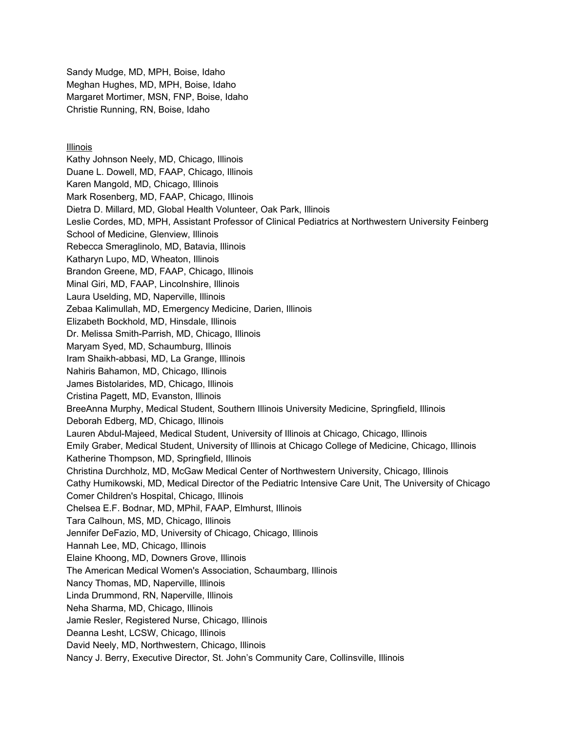Sandy Mudge, MD, MPH, Boise, Idaho Meghan Hughes, MD, MPH, Boise, Idaho Margaret Mortimer, MSN, FNP, Boise, Idaho Christie Running, RN, Boise, Idaho

# Illinois

Kathy Johnson Neely, MD, Chicago, Illinois Duane L. Dowell, MD, FAAP, Chicago, Illinois Karen Mangold, MD, Chicago, Illinois Mark Rosenberg, MD, FAAP, Chicago, Illinois Dietra D. Millard, MD, Global Health Volunteer, Oak Park, Illinois Leslie Cordes, MD, MPH, Assistant Professor of Clinical Pediatrics at Northwestern University Feinberg School of Medicine, Glenview, Illinois Rebecca Smeraglinolo, MD, Batavia, Illinois Katharyn Lupo, MD, Wheaton, Illinois Brandon Greene, MD, FAAP, Chicago, Illinois Minal Giri, MD, FAAP, Lincolnshire, Illinois Laura Uselding, MD, Naperville, Illinois Zebaa Kalimullah, MD, Emergency Medicine, Darien, Illinois Elizabeth Bockhold, MD, Hinsdale, Illinois Dr. Melissa Smith-Parrish, MD, Chicago, Illinois Maryam Syed, MD, Schaumburg, Illinois Iram Shaikh-abbasi, MD, La Grange, Illinois Nahiris Bahamon, MD, Chicago, Illinois James Bistolarides, MD, Chicago, Illinois Cristina Pagett, MD, Evanston, Illinois BreeAnna Murphy, Medical Student, Southern Illinois University Medicine, Springfield, Illinois Deborah Edberg, MD, Chicago, Illinois Lauren Abdul-Majeed, Medical Student, University of Illinois at Chicago, Chicago, Illinois Emily Graber, Medical Student, University of Illinois at Chicago College of Medicine, Chicago, Illinois Katherine Thompson, MD, Springfield, Illinois Christina Durchholz, MD, McGaw Medical Center of Northwestern University, Chicago, Illinois Cathy Humikowski, MD, Medical Director of the Pediatric Intensive Care Unit, The University of Chicago Comer Children's Hospital, Chicago, Illinois Chelsea E.F. Bodnar, MD, MPhil, FAAP, Elmhurst, Illinois Tara Calhoun, MS, MD, Chicago, Illinois Jennifer DeFazio, MD, University of Chicago, Chicago, Illinois Hannah Lee, MD, Chicago, Illinois Elaine Khoong, MD, Downers Grove, Illinois The American Medical Women's Association, Schaumbarg, Illinois Nancy Thomas, MD, Naperville, Illinois Linda Drummond, RN, Naperville, Illinois Neha Sharma, MD, Chicago, Illinois Jamie Resler, Registered Nurse, Chicago, Illinois Deanna Lesht, LCSW, Chicago, Illinois David Neely, MD, Northwestern, Chicago, Illinois Nancy J. Berry, Executive Director, St. John's Community Care, Collinsville, Illinois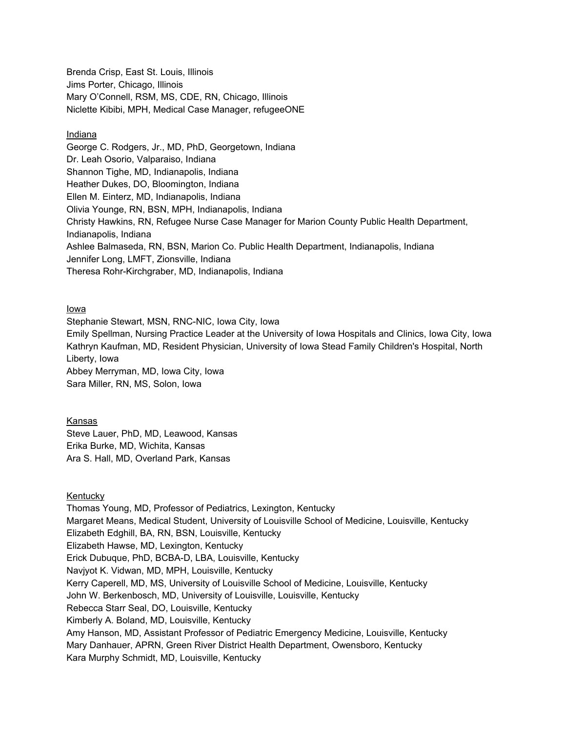Brenda Crisp, East St. Louis, Illinois Jims Porter, Chicago, Illinois Mary O'Connell, RSM, MS, CDE, RN, Chicago, Illinois Niclette Kibibi, MPH, Medical Case Manager, refugeeONE

# Indiana

George C. Rodgers, Jr., MD, PhD, Georgetown, Indiana Dr. Leah Osorio, Valparaiso, Indiana Shannon Tighe, MD, Indianapolis, Indiana Heather Dukes, DO, Bloomington, Indiana Ellen M. Einterz, MD, Indianapolis, Indiana Olivia Younge, RN, BSN, MPH, Indianapolis, Indiana Christy Hawkins, RN, Refugee Nurse Case Manager for Marion County Public Health Department, Indianapolis, Indiana Ashlee Balmaseda, RN, BSN, Marion Co. Public Health Department, Indianapolis, Indiana Jennifer Long, LMFT, Zionsville, Indiana Theresa Rohr-Kirchgraber, MD, Indianapolis, Indiana

# Iowa

Stephanie Stewart, MSN, RNC-NIC, Iowa City, Iowa Emily Spellman, Nursing Practice Leader at the University of Iowa Hospitals and Clinics, Iowa City, Iowa Kathryn Kaufman, MD, Resident Physician, University of Iowa Stead Family Children's Hospital, North Liberty, Iowa Abbey Merryman, MD, Iowa City, Iowa Sara Miller, RN, MS, Solon, Iowa

# Kansas

Steve Lauer, PhD, MD, Leawood, Kansas Erika Burke, MD, Wichita, Kansas Ara S. Hall, MD, Overland Park, Kansas

## Kentucky

Thomas Young, MD, Professor of Pediatrics, Lexington, Kentucky Margaret Means, Medical Student, University of Louisville School of Medicine, Louisville, Kentucky Elizabeth Edghill, BA, RN, BSN, Louisville, Kentucky Elizabeth Hawse, MD, Lexington, Kentucky Erick Dubuque, PhD, BCBA-D, LBA, Louisville, Kentucky Navjyot K. Vidwan, MD, MPH, Louisville, Kentucky Kerry Caperell, MD, MS, University of Louisville School of Medicine, Louisville, Kentucky John W. Berkenbosch, MD, University of Louisville, Louisville, Kentucky Rebecca Starr Seal, DO, Louisville, Kentucky Kimberly A. Boland, MD, Louisville, Kentucky Amy Hanson, MD, Assistant Professor of Pediatric Emergency Medicine, Louisville, Kentucky Mary Danhauer, APRN, Green River District Health Department, Owensboro, Kentucky Kara Murphy Schmidt, MD, Louisville, Kentucky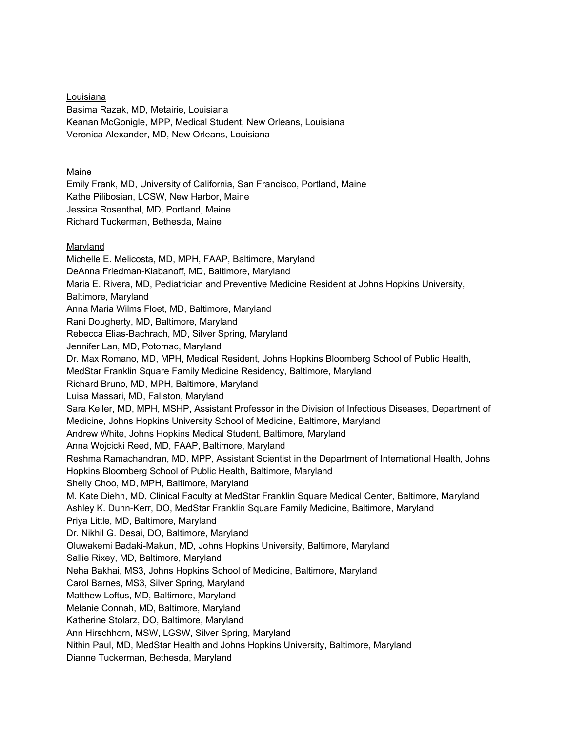Louisiana Basima Razak, MD, Metairie, Louisiana Keanan McGonigle, MPP, Medical Student, New Orleans, Louisiana Veronica Alexander, MD, New Orleans, Louisiana

# Maine

Emily Frank, MD, University of California, San Francisco, Portland, Maine Kathe Pilibosian, LCSW, New Harbor, Maine Jessica Rosenthal, MD, Portland, Maine Richard Tuckerman, Bethesda, Maine

## **Maryland**

Michelle E. Melicosta, MD, MPH, FAAP, Baltimore, Maryland DeAnna Friedman-Klabanoff, MD, Baltimore, Maryland Maria E. Rivera, MD, Pediatrician and Preventive Medicine Resident at Johns Hopkins University, Baltimore, Maryland Anna Maria Wilms Floet, MD, Baltimore, Maryland Rani Dougherty, MD, Baltimore, Maryland Rebecca Elias-Bachrach, MD, Silver Spring, Maryland Jennifer Lan, MD, Potomac, Maryland Dr. Max Romano, MD, MPH, Medical Resident, Johns Hopkins Bloomberg School of Public Health, MedStar Franklin Square Family Medicine Residency, Baltimore, Maryland Richard Bruno, MD, MPH, Baltimore, Maryland Luisa Massari, MD, Fallston, Maryland Sara Keller, MD, MPH, MSHP, Assistant Professor in the Division of Infectious Diseases, Department of Medicine, Johns Hopkins University School of Medicine, Baltimore, Maryland Andrew White, Johns Hopkins Medical Student, Baltimore, Maryland Anna Wojcicki Reed, MD, FAAP, Baltimore, Maryland Reshma Ramachandran, MD, MPP, Assistant Scientist in the Department of International Health, Johns Hopkins Bloomberg School of Public Health, Baltimore, Maryland Shelly Choo, MD, MPH, Baltimore, Maryland M. Kate Diehn, MD, Clinical Faculty at MedStar Franklin Square Medical Center, Baltimore, Maryland Ashley K. Dunn-Kerr, DO, MedStar Franklin Square Family Medicine, Baltimore, Maryland Priya Little, MD, Baltimore, Maryland Dr. Nikhil G. Desai, DO, Baltimore, Maryland Oluwakemi Badaki-Makun, MD, Johns Hopkins University, Baltimore, Maryland Sallie Rixey, MD, Baltimore, Maryland Neha Bakhai, MS3, Johns Hopkins School of Medicine, Baltimore, Maryland Carol Barnes, MS3, Silver Spring, Maryland Matthew Loftus, MD, Baltimore, Maryland Melanie Connah, MD, Baltimore, Maryland Katherine Stolarz, DO, Baltimore, Maryland Ann Hirschhorn, MSW, LGSW, Silver Spring, Maryland Nithin Paul, MD, MedStar Health and Johns Hopkins University, Baltimore, Maryland Dianne Tuckerman, Bethesda, Maryland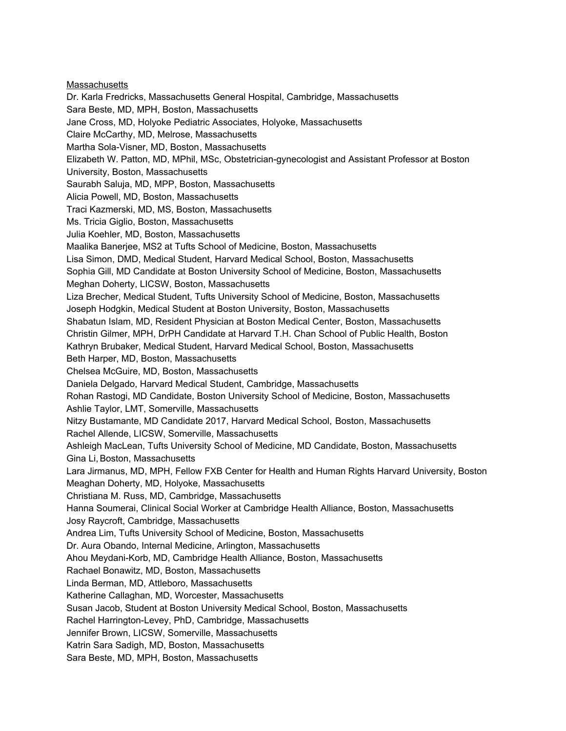**Massachusetts** Dr. Karla Fredricks, Massachusetts General Hospital, Cambridge, Massachusetts Sara Beste, MD, MPH, Boston, Massachusetts Jane Cross, MD, Holyoke Pediatric Associates, Holyoke, Massachusetts Claire McCarthy, MD, Melrose, Massachusetts Martha Sola-Visner, MD, Boston, Massachusetts Elizabeth W. Patton, MD, MPhil, MSc, Obstetrician-gynecologist and Assistant Professor at Boston University, Boston, Massachusetts Saurabh Saluja, MD, MPP, Boston, Massachusetts Alicia Powell, MD, Boston, Massachusetts Traci Kazmerski, MD, MS, Boston, Massachusetts Ms. Tricia Giglio, Boston, Massachusetts Julia Koehler, MD, Boston, Massachusetts Maalika Banerjee, MS2 at Tufts School of Medicine, Boston, Massachusetts Lisa Simon, DMD, Medical Student, Harvard Medical School, Boston, Massachusetts Sophia Gill, MD Candidate at Boston University School of Medicine, Boston, Massachusetts Meghan Doherty, LICSW, Boston, Massachusetts Liza Brecher, Medical Student, Tufts University School of Medicine, Boston, Massachusetts Joseph Hodgkin, Medical Student at Boston University, Boston, Massachusetts Shabatun Islam, MD, Resident Physician at Boston Medical Center, Boston, Massachusetts Christin Gilmer, MPH, DrPH Candidate at Harvard T.H. Chan School of Public Health, Boston Kathryn Brubaker, Medical Student, Harvard Medical School, Boston, Massachusetts Beth Harper, MD, Boston, Massachusetts Chelsea McGuire, MD, Boston, Massachusetts Daniela Delgado, Harvard Medical Student, Cambridge, Massachusetts Rohan Rastogi, MD Candidate, Boston University School of Medicine, Boston, Massachusetts Ashlie Taylor, LMT, Somerville, Massachusetts Nitzy Bustamante, MD Candidate 2017, Harvard Medical School, Boston, Massachusetts Rachel Allende, LICSW, Somerville, Massachusetts Ashleigh MacLean, Tufts University School of Medicine, MD Candidate, Boston, Massachusetts Gina Li, Boston, Massachusetts Lara Jirmanus, MD, MPH, Fellow FXB Center for Health and Human Rights Harvard University, Boston Meaghan Doherty, MD, Holyoke, Massachusetts Christiana M. Russ, MD, Cambridge, Massachusetts Hanna Soumerai, Clinical Social Worker at Cambridge Health Alliance, Boston, Massachusetts Josy Raycroft, Cambridge, Massachusetts Andrea Lim, Tufts University School of Medicine, Boston, Massachusetts Dr. Aura Obando, Internal Medicine, Arlington, Massachusetts Ahou Meydani-Korb, MD, Cambridge Health Alliance, Boston, Massachusetts Rachael Bonawitz, MD, Boston, Massachusetts Linda Berman, MD, Attleboro, Massachusetts Katherine Callaghan, MD, Worcester, Massachusetts Susan Jacob, Student at Boston University Medical School, Boston, Massachusetts Rachel Harrington-Levey, PhD, Cambridge, Massachusetts Jennifer Brown, LICSW, Somerville, Massachusetts Katrin Sara Sadigh, MD, Boston, Massachusetts Sara Beste, MD, MPH, Boston, Massachusetts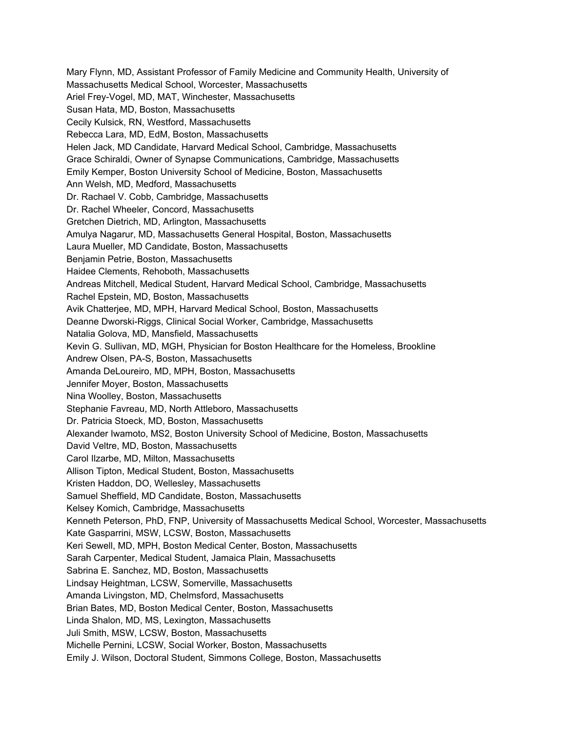Mary Flynn, MD, Assistant Professor of Family Medicine and Community Health, University of Massachusetts Medical School, Worcester, Massachusetts Ariel Frey-Vogel, MD, MAT, Winchester, Massachusetts Susan Hata, MD, Boston, Massachusetts Cecily Kulsick, RN, Westford, Massachusetts Rebecca Lara, MD, EdM, Boston, Massachusetts Helen Jack, MD Candidate, Harvard Medical School, Cambridge, Massachusetts Grace Schiraldi, Owner of Synapse Communications, Cambridge, Massachusetts Emily Kemper, Boston University School of Medicine, Boston, Massachusetts Ann Welsh, MD, Medford, Massachusetts Dr. Rachael V. Cobb, Cambridge, Massachusetts Dr. Rachel Wheeler, Concord, Massachusetts Gretchen Dietrich, MD, Arlington, Massachusetts Amulya Nagarur, MD, Massachusetts General Hospital, Boston, Massachusetts Laura Mueller, MD Candidate, Boston, Massachusetts Benjamin Petrie, Boston, Massachusetts Haidee Clements, Rehoboth, Massachusetts Andreas Mitchell, Medical Student, Harvard Medical School, Cambridge, Massachusetts Rachel Epstein, MD, Boston, Massachusetts Avik Chatterjee, MD, MPH, Harvard Medical School, Boston, Massachusetts Deanne Dworski-Riggs, Clinical Social Worker, Cambridge, Massachusetts Natalia Golova, MD, Mansfield, Massachusetts Kevin G. Sullivan, MD, MGH, Physician for Boston Healthcare for the Homeless, Brookline Andrew Olsen, PA-S, Boston, Massachusetts Amanda DeLoureiro, MD, MPH, Boston, Massachusetts Jennifer Moyer, Boston, Massachusetts Nina Woolley, Boston, Massachusetts Stephanie Favreau, MD, North Attleboro, Massachusetts Dr. Patricia Stoeck, MD, Boston, Massachusetts Alexander Iwamoto, MS2, Boston University School of Medicine, Boston, Massachusetts David Veltre, MD, Boston, Massachusetts Carol Ilzarbe, MD, Milton, Massachusetts Allison Tipton, Medical Student, Boston, Massachusetts Kristen Haddon, DO, Wellesley, Massachusetts Samuel Sheffield, MD Candidate, Boston, Massachusetts Kelsey Komich, Cambridge, Massachusetts Kenneth Peterson, PhD, FNP, University of Massachusetts Medical School, Worcester, Massachusetts Kate Gasparrini, MSW, LCSW, Boston, Massachusetts Keri Sewell, MD, MPH, Boston Medical Center, Boston, Massachusetts Sarah Carpenter, Medical Student, Jamaica Plain, Massachusetts Sabrina E. Sanchez, MD, Boston, Massachusetts Lindsay Heightman, LCSW, Somerville, Massachusetts Amanda Livingston, MD, Chelmsford, Massachusetts Brian Bates, MD, Boston Medical Center, Boston, Massachusetts Linda Shalon, MD, MS, Lexington, Massachusetts Juli Smith, MSW, LCSW, Boston, Massachusetts Michelle Pernini, LCSW, Social Worker, Boston, Massachusetts Emily J. Wilson, Doctoral Student, Simmons College, Boston, Massachusetts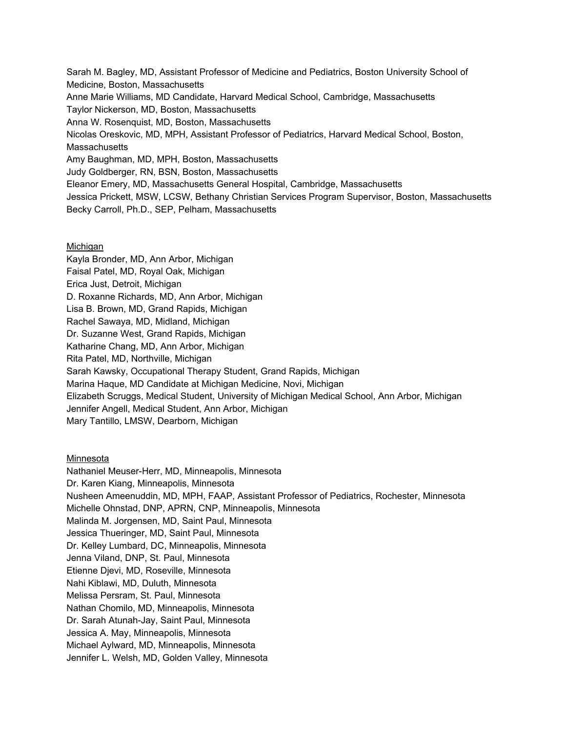Sarah M. Bagley, MD, Assistant Professor of Medicine and Pediatrics, Boston University School of Medicine, Boston, Massachusetts Anne Marie Williams, MD Candidate, Harvard Medical School, Cambridge, Massachusetts Taylor Nickerson, MD, Boston, Massachusetts Anna W. Rosenquist, MD, Boston, Massachusetts Nicolas Oreskovic, MD, MPH, Assistant Professor of Pediatrics, Harvard Medical School, Boston, **Massachusetts** Amy Baughman, MD, MPH, Boston, Massachusetts Judy Goldberger, RN, BSN, Boston, Massachusetts Eleanor Emery, MD, Massachusetts General Hospital, Cambridge, Massachusetts Jessica Prickett, MSW, LCSW, Bethany Christian Services Program Supervisor, Boston, Massachusetts Becky Carroll, Ph.D., SEP, Pelham, Massachusetts

# **Michigan**

Kayla Bronder, MD, Ann Arbor, Michigan Faisal Patel, MD, Royal Oak, Michigan Erica Just, Detroit, Michigan D. Roxanne Richards, MD, Ann Arbor, Michigan Lisa B. Brown, MD, Grand Rapids, Michigan Rachel Sawaya, MD, Midland, Michigan Dr. Suzanne West, Grand Rapids, Michigan Katharine Chang, MD, Ann Arbor, Michigan Rita Patel, MD, Northville, Michigan Sarah Kawsky, Occupational Therapy Student, Grand Rapids, Michigan Marina Haque, MD Candidate at Michigan Medicine, Novi, Michigan Elizabeth Scruggs, Medical Student, University of Michigan Medical School, Ann Arbor, Michigan Jennifer Angell, Medical Student, Ann Arbor, Michigan Mary Tantillo, LMSW, Dearborn, Michigan

# Minnesota

Nathaniel Meuser-Herr, MD, Minneapolis, Minnesota Dr. Karen Kiang, Minneapolis, Minnesota Nusheen Ameenuddin, MD, MPH, FAAP, Assistant Professor of Pediatrics, Rochester, Minnesota Michelle Ohnstad, DNP, APRN, CNP, Minneapolis, Minnesota Malinda M. Jorgensen, MD, Saint Paul, Minnesota Jessica Thueringer, MD, Saint Paul, Minnesota Dr. Kelley Lumbard, DC, Minneapolis, Minnesota Jenna Viland, DNP, St. Paul, Minnesota Etienne Djevi, MD, Roseville, Minnesota Nahi Kiblawi, MD, Duluth, Minnesota Melissa Persram, St. Paul, Minnesota Nathan Chomilo, MD, Minneapolis, Minnesota Dr. Sarah Atunah-Jay, Saint Paul, Minnesota Jessica A. May, Minneapolis, Minnesota Michael Aylward, MD, Minneapolis, Minnesota Jennifer L. Welsh, MD, Golden Valley, Minnesota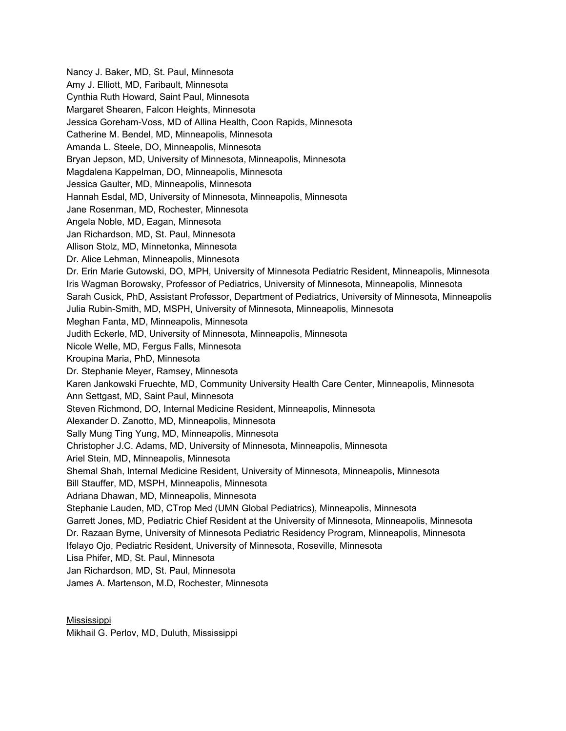Nancy J. Baker, MD, St. Paul, Minnesota Amy J. Elliott, MD, Faribault, Minnesota Cynthia Ruth Howard, Saint Paul, Minnesota Margaret Shearen, Falcon Heights, Minnesota Jessica Goreham-Voss, MD of Allina Health, Coon Rapids, Minnesota Catherine M. Bendel, MD, Minneapolis, Minnesota Amanda L. Steele, DO, Minneapolis, Minnesota Bryan Jepson, MD, University of Minnesota, Minneapolis, Minnesota Magdalena Kappelman, DO, Minneapolis, Minnesota Jessica Gaulter, MD, Minneapolis, Minnesota Hannah Esdal, MD, University of Minnesota, Minneapolis, Minnesota Jane Rosenman, MD, Rochester, Minnesota Angela Noble, MD, Eagan, Minnesota Jan Richardson, MD, St. Paul, Minnesota Allison Stolz, MD, Minnetonka, Minnesota Dr. Alice Lehman, Minneapolis, Minnesota Dr. Erin Marie Gutowski, DO, MPH, University of Minnesota Pediatric Resident, Minneapolis, Minnesota Iris Wagman Borowsky, Professor of Pediatrics, University of Minnesota, Minneapolis, Minnesota Sarah Cusick, PhD, Assistant Professor, Department of Pediatrics, University of Minnesota, Minneapolis Julia Rubin-Smith, MD, MSPH, University of Minnesota, Minneapolis, Minnesota Meghan Fanta, MD, Minneapolis, Minnesota Judith Eckerle, MD, University of Minnesota, Minneapolis, Minnesota Nicole Welle, MD, Fergus Falls, Minnesota Kroupina Maria, PhD, Minnesota Dr. Stephanie Meyer, Ramsey, Minnesota Karen Jankowski Fruechte, MD, Community University Health Care Center, Minneapolis, Minnesota Ann Settgast, MD, Saint Paul, Minnesota Steven Richmond, DO, Internal Medicine Resident, Minneapolis, Minnesota Alexander D. Zanotto, MD, Minneapolis, Minnesota Sally Mung Ting Yung, MD, Minneapolis, Minnesota Christopher J.C. Adams, MD, University of Minnesota, Minneapolis, Minnesota Ariel Stein, MD, Minneapolis, Minnesota Shemal Shah, Internal Medicine Resident, University of Minnesota, Minneapolis, Minnesota Bill Stauffer, MD, MSPH, Minneapolis, Minnesota Adriana Dhawan, MD, Minneapolis, Minnesota Stephanie Lauden, MD, CTrop Med (UMN Global Pediatrics), Minneapolis, Minnesota Garrett Jones, MD, Pediatric Chief Resident at the University of Minnesota, Minneapolis, Minnesota Dr. Razaan Byrne, University of Minnesota Pediatric Residency Program, Minneapolis, Minnesota Ifelayo Ojo, Pediatric Resident, University of Minnesota, Roseville, Minnesota Lisa Phifer, MD, St. Paul, Minnesota Jan Richardson, MD, St. Paul, Minnesota James A. Martenson, M.D, Rochester, Minnesota

Mississippi Mikhail G. Perlov, MD, Duluth, Mississippi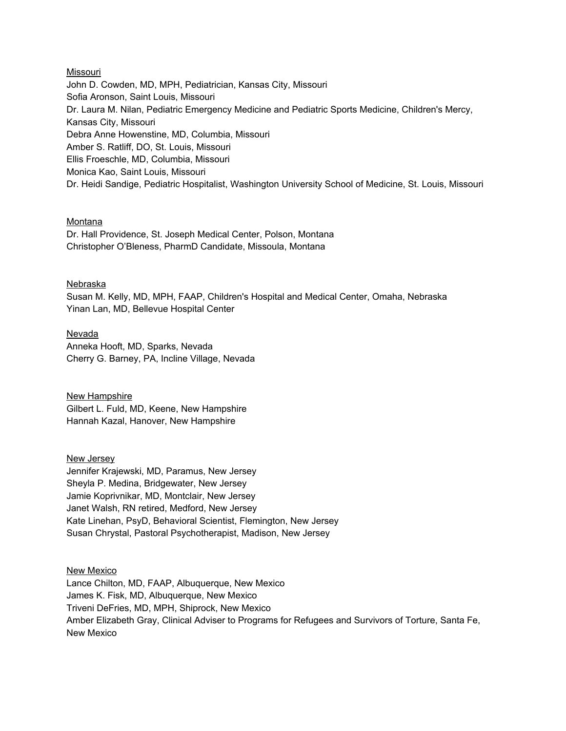### Missouri

John D. Cowden, MD, MPH, Pediatrician, Kansas City, Missouri Sofia Aronson, Saint Louis, Missouri Dr. Laura M. Nilan, Pediatric Emergency Medicine and Pediatric Sports Medicine, Children's Mercy, Kansas City, Missouri Debra Anne Howenstine, MD, Columbia, Missouri Amber S. Ratliff, DO, St. Louis, Missouri Ellis Froeschle, MD, Columbia, Missouri Monica Kao, Saint Louis, Missouri Dr. Heidi Sandige, Pediatric Hospitalist, Washington University School of Medicine, St. Louis, Missouri

#### Montana

Dr. Hall Providence, St. Joseph Medical Center, Polson, Montana Christopher O'Bleness, PharmD Candidate, Missoula, Montana

## Nebraska

Susan M. Kelly, MD, MPH, FAAP, Children's Hospital and Medical Center, Omaha, Nebraska Yinan Lan, MD, Bellevue Hospital Center

Nevada Anneka Hooft, MD, Sparks, Nevada Cherry G. Barney, PA, Incline Village, Nevada

New Hampshire Gilbert L. Fuld, MD, Keene, New Hampshire Hannah Kazal, Hanover, New Hampshire

New Jersey

Jennifer Krajewski, MD, Paramus, New Jersey Sheyla P. Medina, Bridgewater, New Jersey Jamie Koprivnikar, MD, Montclair, New Jersey Janet Walsh, RN retired, Medford, New Jersey Kate Linehan, PsyD, Behavioral Scientist, Flemington, New Jersey Susan Chrystal, Pastoral Psychotherapist, Madison, New Jersey

New Mexico Lance Chilton, MD, FAAP, Albuquerque, New Mexico James K. Fisk, MD, Albuquerque, New Mexico Triveni DeFries, MD, MPH, Shiprock, New Mexico Amber Elizabeth Gray, Clinical Adviser to Programs for Refugees and Survivors of Torture, Santa Fe, New Mexico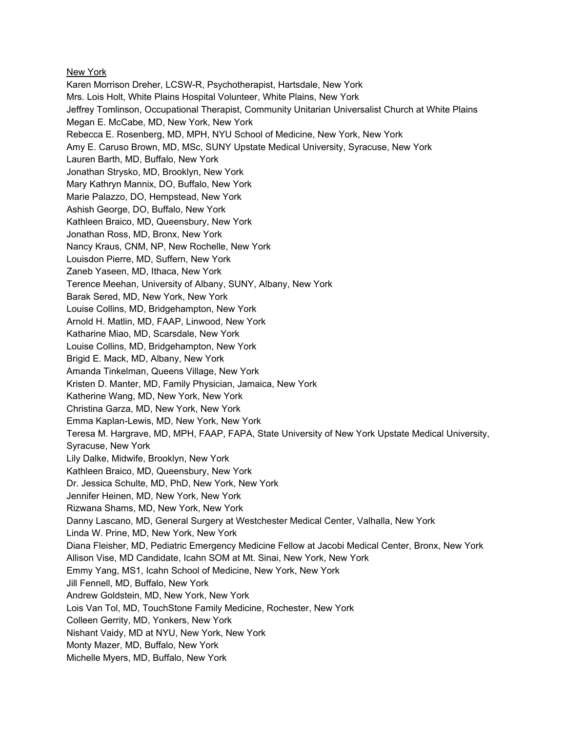## New York

Karen Morrison Dreher, LCSW-R, Psychotherapist, Hartsdale, New York Mrs. Lois Holt, White Plains Hospital Volunteer, White Plains, New York Jeffrey Tomlinson, Occupational Therapist, Community Unitarian Universalist Church at White Plains Megan E. McCabe, MD, New York, New York Rebecca E. Rosenberg, MD, MPH, NYU School of Medicine, New York, New York Amy E. Caruso Brown, MD, MSc, SUNY Upstate Medical University, Syracuse, New York Lauren Barth, MD, Buffalo, New York Jonathan Strysko, MD, Brooklyn, New York Mary Kathryn Mannix, DO, Buffalo, New York Marie Palazzo, DO, Hempstead, New York Ashish George, DO, Buffalo, New York Kathleen Braico, MD, Queensbury, New York Jonathan Ross, MD, Bronx, New York Nancy Kraus, CNM, NP, New Rochelle, New York Louisdon Pierre, MD, Suffern, New York Zaneb Yaseen, MD, Ithaca, New York Terence Meehan, University of Albany, SUNY, Albany, New York Barak Sered, MD, New York, New York Louise Collins, MD, Bridgehampton, New York Arnold H. Matlin, MD, FAAP, Linwood, New York Katharine Miao, MD, Scarsdale, New York Louise Collins, MD, Bridgehampton, New York Brigid E. Mack, MD, Albany, New York Amanda Tinkelman, Queens Village, New York Kristen D. Manter, MD, Family Physician, Jamaica, New York Katherine Wang, MD, New York, New York Christina Garza, MD, New York, New York Emma Kaplan-Lewis, MD, New York, New York Teresa M. Hargrave, MD, MPH, FAAP, FAPA, State University of New York Upstate Medical University, Syracuse, New York Lily Dalke, Midwife, Brooklyn, New York Kathleen Braico, MD, Queensbury, New York Dr. Jessica Schulte, MD, PhD, New York, New York Jennifer Heinen, MD, New York, New York Rizwana Shams, MD, New York, New York Danny Lascano, MD, General Surgery at Westchester Medical Center, Valhalla, New York Linda W. Prine, MD, New York, New York Diana Fleisher, MD, Pediatric Emergency Medicine Fellow at Jacobi Medical Center, Bronx, New York Allison Vise, MD Candidate, Icahn SOM at Mt. Sinai, New York, New York Emmy Yang, MS1, Icahn School of Medicine, New York, New York Jill Fennell, MD, Buffalo, New York Andrew Goldstein, MD, New York, New York Lois Van Tol, MD, TouchStone Family Medicine, Rochester, New York Colleen Gerrity, MD, Yonkers, New York Nishant Vaidy, MD at NYU, New York, New York Monty Mazer, MD, Buffalo, New York Michelle Myers, MD, Buffalo, New York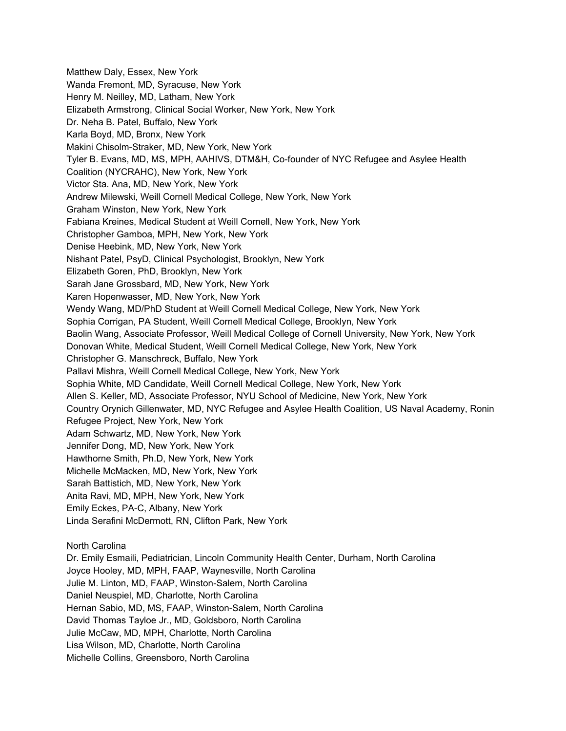Matthew Daly, Essex, New York Wanda Fremont, MD, Syracuse, New York Henry M. Neilley, MD, Latham, New York Elizabeth Armstrong, Clinical Social Worker, New York, New York Dr. Neha B. Patel, Buffalo, New York Karla Boyd, MD, Bronx, New York Makini Chisolm-Straker, MD, New York, New York Tyler B. Evans, MD, MS, MPH, AAHIVS, DTM&H, Co-founder of NYC Refugee and Asylee Health Coalition (NYCRAHC), New York, New York Victor Sta. Ana, MD, New York, New York Andrew Milewski, Weill Cornell Medical College, New York, New York Graham Winston, New York, New York Fabiana Kreines, Medical Student at Weill Cornell, New York, New York Christopher Gamboa, MPH, New York, New York Denise Heebink, MD, New York, New York Nishant Patel, PsyD, Clinical Psychologist, Brooklyn, New York Elizabeth Goren, PhD, Brooklyn, New York Sarah Jane Grossbard, MD, New York, New York Karen Hopenwasser, MD, New York, New York Wendy Wang, MD/PhD Student at Weill Cornell Medical College, New York, New York Sophia Corrigan, PA Student, Weill Cornell Medical College, Brooklyn, New York Baolin Wang, Associate Professor, Weill Medical College of Cornell University, New York, New York Donovan White, Medical Student, Weill Cornell Medical College, New York, New York Christopher G. Manschreck, Buffalo, New York Pallavi Mishra, Weill Cornell Medical College, New York, New York Sophia White, MD Candidate, Weill Cornell Medical College, New York, New York Allen S. Keller, MD, Associate Professor, NYU School of Medicine, New York, New York Country Orynich Gillenwater, MD, NYC Refugee and Asylee Health Coalition, US Naval Academy, Ronin Refugee Project, New York, New York Adam Schwartz, MD, New York, New York Jennifer Dong, MD, New York, New York Hawthorne Smith, Ph.D, New York, New York Michelle McMacken, MD, New York, New York Sarah Battistich, MD, New York, New York Anita Ravi, MD, MPH, New York, New York Emily Eckes, PA-C, Albany, New York Linda Serafini McDermott, RN, Clifton Park, New York

# North Carolina

Dr. Emily Esmaili, Pediatrician, Lincoln Community Health Center, Durham, North Carolina Joyce Hooley, MD, MPH, FAAP, Waynesville, North Carolina Julie M. Linton, MD, FAAP, Winston-Salem, North Carolina Daniel Neuspiel, MD, Charlotte, North Carolina Hernan Sabio, MD, MS, FAAP, Winston-Salem, North Carolina David Thomas Tayloe Jr., MD, Goldsboro, North Carolina Julie McCaw, MD, MPH, Charlotte, North Carolina Lisa Wilson, MD, Charlotte, North Carolina Michelle Collins, Greensboro, North Carolina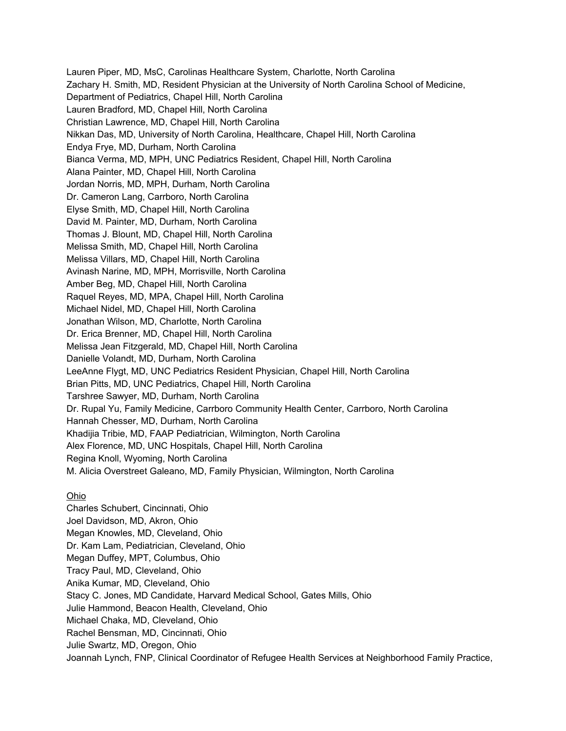Lauren Piper, MD, MsC, Carolinas Healthcare System, Charlotte, North Carolina Zachary H. Smith, MD, Resident Physician at the University of North Carolina School of Medicine, Department of Pediatrics, Chapel Hill, North Carolina Lauren Bradford, MD, Chapel Hill, North Carolina Christian Lawrence, MD, Chapel Hill, North Carolina Nikkan Das, MD, University of North Carolina, Healthcare, Chapel Hill, North Carolina Endya Frye, MD, Durham, North Carolina Bianca Verma, MD, MPH, UNC Pediatrics Resident, Chapel Hill, North Carolina Alana Painter, MD, Chapel Hill, North Carolina Jordan Norris, MD, MPH, Durham, North Carolina Dr. Cameron Lang, Carrboro, North Carolina Elyse Smith, MD, Chapel Hill, North Carolina David M. Painter, MD, Durham, North Carolina Thomas J. Blount, MD, Chapel Hill, North Carolina Melissa Smith, MD, Chapel Hill, North Carolina Melissa Villars, MD, Chapel Hill, North Carolina Avinash Narine, MD, MPH, Morrisville, North Carolina Amber Beg, MD, Chapel Hill, North Carolina Raquel Reyes, MD, MPA, Chapel Hill, North Carolina Michael Nidel, MD, Chapel Hill, North Carolina Jonathan Wilson, MD, Charlotte, North Carolina Dr. Erica Brenner, MD, Chapel Hill, North Carolina Melissa Jean Fitzgerald, MD, Chapel Hill, North Carolina Danielle Volandt, MD, Durham, North Carolina LeeAnne Flygt, MD, UNC Pediatrics Resident Physician, Chapel Hill, North Carolina Brian Pitts, MD, UNC Pediatrics, Chapel Hill, North Carolina Tarshree Sawyer, MD, Durham, North Carolina Dr. Rupal Yu, Family Medicine, Carrboro Community Health Center, Carrboro, North Carolina Hannah Chesser, MD, Durham, North Carolina Khadijia Tribie, MD, FAAP Pediatrician, Wilmington, North Carolina Alex Florence, MD, UNC Hospitals, Chapel Hill, North Carolina Regina Knoll, Wyoming, North Carolina M. Alicia Overstreet Galeano, MD, Family Physician, Wilmington, North Carolina

## Ohio

Charles Schubert, Cincinnati, Ohio Joel Davidson, MD, Akron, Ohio Megan Knowles, MD, Cleveland, Ohio Dr. Kam Lam, Pediatrician, Cleveland, Ohio Megan Duffey, MPT, Columbus, Ohio Tracy Paul, MD, Cleveland, Ohio Anika Kumar, MD, Cleveland, Ohio Stacy C. Jones, MD Candidate, Harvard Medical School, Gates Mills, Ohio Julie Hammond, Beacon Health, Cleveland, Ohio Michael Chaka, MD, Cleveland, Ohio Rachel Bensman, MD, Cincinnati, Ohio Julie Swartz, MD, Oregon, Ohio Joannah Lynch, FNP, Clinical Coordinator of Refugee Health Services at Neighborhood Family Practice,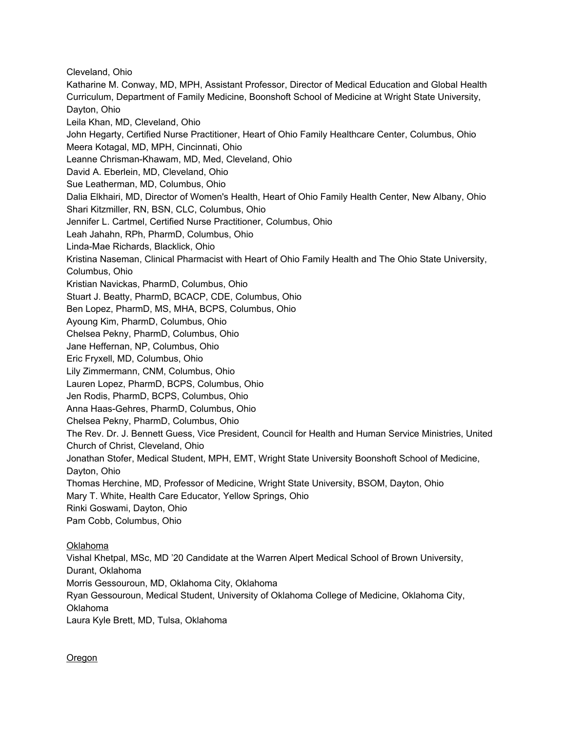Cleveland, Ohio Katharine M. Conway, MD, MPH, Assistant Professor, Director of Medical Education and Global Health Curriculum, Department of Family Medicine, Boonshoft School of Medicine at Wright State University, Dayton, Ohio Leila Khan, MD, Cleveland, Ohio John Hegarty, Certified Nurse Practitioner, Heart of Ohio Family Healthcare Center, Columbus, Ohio Meera Kotagal, MD, MPH, Cincinnati, Ohio Leanne Chrisman-Khawam, MD, Med, Cleveland, Ohio David A. Eberlein, MD, Cleveland, Ohio Sue Leatherman, MD, Columbus, Ohio Dalia Elkhairi, MD, Director of Women's Health, Heart of Ohio Family Health Center, New Albany, Ohio Shari Kitzmiller, RN, BSN, CLC, Columbus, Ohio Jennifer L. Cartmel, Certified Nurse Practitioner, Columbus, Ohio Leah Jahahn, RPh, PharmD, Columbus, Ohio Linda-Mae Richards, Blacklick, Ohio Kristina Naseman, Clinical Pharmacist with Heart of Ohio Family Health and The Ohio State University, Columbus, Ohio Kristian Navickas, PharmD, Columbus, Ohio Stuart J. Beatty, PharmD, BCACP, CDE, Columbus, Ohio Ben Lopez, PharmD, MS, MHA, BCPS, Columbus, Ohio Ayoung Kim, PharmD, Columbus, Ohio Chelsea Pekny, PharmD, Columbus, Ohio Jane Heffernan, NP, Columbus, Ohio Eric Fryxell, MD, Columbus, Ohio Lily Zimmermann, CNM, Columbus, Ohio Lauren Lopez, PharmD, BCPS, Columbus, Ohio Jen Rodis, PharmD, BCPS, Columbus, Ohio Anna Haas-Gehres, PharmD, Columbus, Ohio Chelsea Pekny, PharmD, Columbus, Ohio The Rev. Dr. J. Bennett Guess, Vice President, Council for Health and Human Service Ministries, United Church of Christ, Cleveland, Ohio Jonathan Stofer, Medical Student, MPH, EMT, Wright State University Boonshoft School of Medicine, Dayton, Ohio Thomas Herchine, MD, Professor of Medicine, Wright State University, BSOM, Dayton, Ohio Mary T. White, Health Care Educator, Yellow Springs, Ohio Rinki Goswami, Dayton, Ohio Pam Cobb, Columbus, Ohio Oklahoma Vishal Khetpal, MSc, MD '20 Candidate at the Warren Alpert Medical School of Brown University, Durant, Oklahoma Morris Gessouroun, MD, Oklahoma City, Oklahoma

Ryan Gessouroun, Medical Student, University of Oklahoma College of Medicine, Oklahoma City, Oklahoma Laura Kyle Brett, MD, Tulsa, Oklahoma

Oregon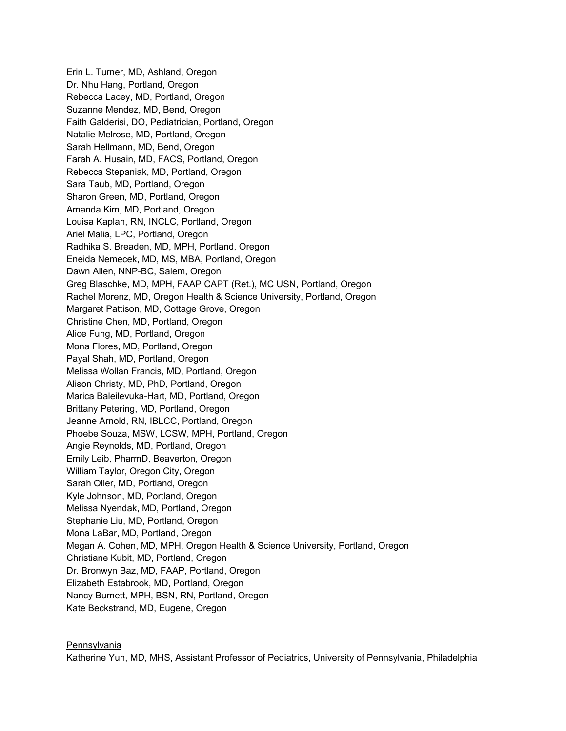Erin L. Turner, MD, Ashland, Oregon Dr. Nhu Hang, Portland, Oregon Rebecca Lacey, MD, Portland, Oregon Suzanne Mendez, MD, Bend, Oregon Faith Galderisi, DO, Pediatrician, Portland, Oregon Natalie Melrose, MD, Portland, Oregon Sarah Hellmann, MD, Bend, Oregon Farah A. Husain, MD, FACS, Portland, Oregon Rebecca Stepaniak, MD, Portland, Oregon Sara Taub, MD, Portland, Oregon Sharon Green, MD, Portland, Oregon Amanda Kim, MD, Portland, Oregon Louisa Kaplan, RN, INCLC, Portland, Oregon Ariel Malia, LPC, Portland, Oregon Radhika S. Breaden, MD, MPH, Portland, Oregon Eneida Nemecek, MD, MS, MBA, Portland, Oregon Dawn Allen, NNP-BC, Salem, Oregon Greg Blaschke, MD, MPH, FAAP CAPT (Ret.), MC USN, Portland, Oregon Rachel Morenz, MD, Oregon Health & Science University, Portland, Oregon Margaret Pattison, MD, Cottage Grove, Oregon Christine Chen, MD, Portland, Oregon Alice Fung, MD, Portland, Oregon Mona Flores, MD, Portland, Oregon Payal Shah, MD, Portland, Oregon Melissa Wollan Francis, MD, Portland, Oregon Alison Christy, MD, PhD, Portland, Oregon Marica Baleilevuka-Hart, MD, Portland, Oregon Brittany Petering, MD, Portland, Oregon Jeanne Arnold, RN, IBLCC, Portland, Oregon Phoebe Souza, MSW, LCSW, MPH, Portland, Oregon Angie Reynolds, MD, Portland, Oregon Emily Leib, PharmD, Beaverton, Oregon William Taylor, Oregon City, Oregon Sarah Oller, MD, Portland, Oregon Kyle Johnson, MD, Portland, Oregon Melissa Nyendak, MD, Portland, Oregon Stephanie Liu, MD, Portland, Oregon Mona LaBar, MD, Portland, Oregon Megan A. Cohen, MD, MPH, Oregon Health & Science University, Portland, Oregon Christiane Kubit, MD, Portland, Oregon Dr. Bronwyn Baz, MD, FAAP, Portland, Oregon Elizabeth Estabrook, MD, Portland, Oregon Nancy Burnett, MPH, BSN, RN, Portland, Oregon Kate Beckstrand, MD, Eugene, Oregon

**Pennsylvania** 

Katherine Yun, MD, MHS, Assistant Professor of Pediatrics, University of Pennsylvania, Philadelphia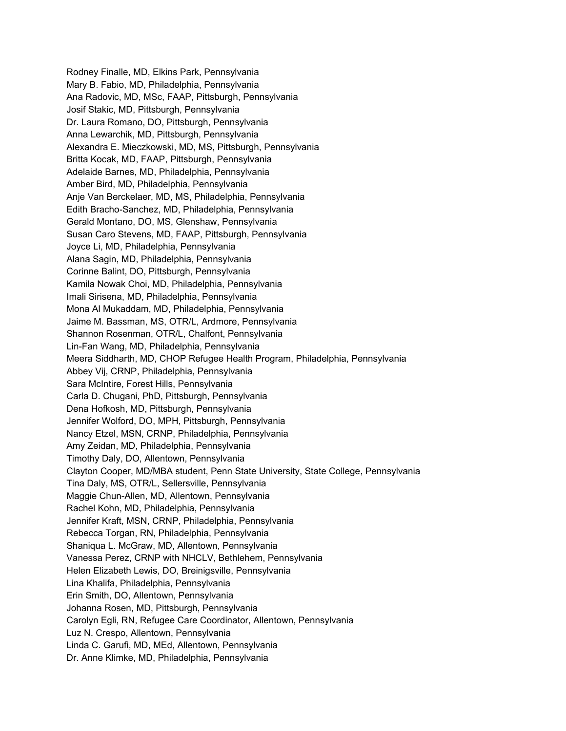Rodney Finalle, MD, Elkins Park, Pennsylvania Mary B. Fabio, MD, Philadelphia, Pennsylvania Ana Radovic, MD, MSc, FAAP, Pittsburgh, Pennsylvania Josif Stakic, MD, Pittsburgh, Pennsylvania Dr. Laura Romano, DO, Pittsburgh, Pennsylvania Anna Lewarchik, MD, Pittsburgh, Pennsylvania Alexandra E. Mieczkowski, MD, MS, Pittsburgh, Pennsylvania Britta Kocak, MD, FAAP, Pittsburgh, Pennsylvania Adelaide Barnes, MD, Philadelphia, Pennsylvania Amber Bird, MD, Philadelphia, Pennsylvania Anje Van Berckelaer, MD, MS, Philadelphia, Pennsylvania Edith Bracho-Sanchez, MD, Philadelphia, Pennsylvania Gerald Montano, DO, MS, Glenshaw, Pennsylvania Susan Caro Stevens, MD, FAAP, Pittsburgh, Pennsylvania Joyce Li, MD, Philadelphia, Pennsylvania Alana Sagin, MD, Philadelphia, Pennsylvania Corinne Balint, DO, Pittsburgh, Pennsylvania Kamila Nowak Choi, MD, Philadelphia, Pennsylvania Imali Sirisena, MD, Philadelphia, Pennsylvania Mona Al Mukaddam, MD, Philadelphia, Pennsylvania Jaime M. Bassman, MS, OTR/L, Ardmore, Pennsylvania Shannon Rosenman, OTR/L, Chalfont, Pennsylvania Lin-Fan Wang, MD, Philadelphia, Pennsylvania Meera Siddharth, MD, CHOP Refugee Health Program, Philadelphia, Pennsylvania Abbey Vij, CRNP, Philadelphia, Pennsylvania Sara McIntire, Forest Hills, Pennsylvania Carla D. Chugani, PhD, Pittsburgh, Pennsylvania Dena Hofkosh, MD, Pittsburgh, Pennsylvania Jennifer Wolford, DO, MPH, Pittsburgh, Pennsylvania Nancy Etzel, MSN, CRNP, Philadelphia, Pennsylvania Amy Zeidan, MD, Philadelphia, Pennsylvania Timothy Daly, DO, Allentown, Pennsylvania Clayton Cooper, MD/MBA student, Penn State University, State College, Pennsylvania Tina Daly, MS, OTR/L, Sellersville, Pennsylvania Maggie Chun-Allen, MD, Allentown, Pennsylvania Rachel Kohn, MD, Philadelphia, Pennsylvania Jennifer Kraft, MSN, CRNP, Philadelphia, Pennsylvania Rebecca Torgan, RN, Philadelphia, Pennsylvania Shaniqua L. McGraw, MD, Allentown, Pennsylvania Vanessa Perez, CRNP with NHCLV, Bethlehem, Pennsylvania Helen Elizabeth Lewis, DO, Breinigsville, Pennsylvania Lina Khalifa, Philadelphia, Pennsylvania Erin Smith, DO, Allentown, Pennsylvania Johanna Rosen, MD, Pittsburgh, Pennsylvania Carolyn Egli, RN, Refugee Care Coordinator, Allentown, Pennsylvania Luz N. Crespo, Allentown, Pennsylvania Linda C. Garufi, MD, MEd, Allentown, Pennsylvania Dr. Anne Klimke, MD, Philadelphia, Pennsylvania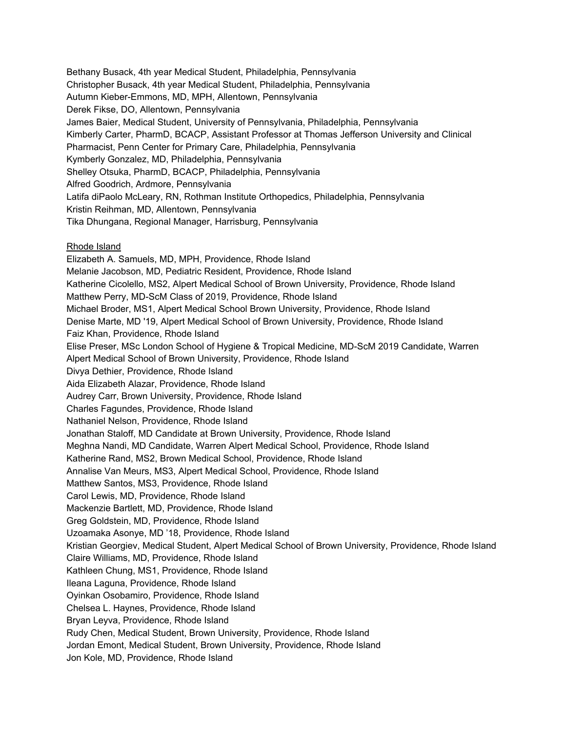Bethany Busack, 4th year Medical Student, Philadelphia, Pennsylvania Christopher Busack, 4th year Medical Student, Philadelphia, Pennsylvania Autumn Kieber-Emmons, MD, MPH, Allentown, Pennsylvania Derek Fikse, DO, Allentown, Pennsylvania James Baier, Medical Student, University of Pennsylvania, Philadelphia, Pennsylvania Kimberly Carter, PharmD, BCACP, Assistant Professor at Thomas Jefferson University and Clinical Pharmacist, Penn Center for Primary Care, Philadelphia, Pennsylvania Kymberly Gonzalez, MD, Philadelphia, Pennsylvania Shelley Otsuka, PharmD, BCACP, Philadelphia, Pennsylvania Alfred Goodrich, Ardmore, Pennsylvania Latifa diPaolo McLeary, RN, Rothman Institute Orthopedics, Philadelphia, Pennsylvania Kristin Reihman, MD, Allentown, Pennsylvania Tika Dhungana, Regional Manager, Harrisburg, Pennsylvania

#### Rhode Island

Elizabeth A. Samuels, MD, MPH, Providence, Rhode Island Melanie Jacobson, MD, Pediatric Resident, Providence, Rhode Island Katherine Cicolello, MS2, Alpert Medical School of Brown University, Providence, Rhode Island Matthew Perry, MD-ScM Class of 2019, Providence, Rhode Island Michael Broder, MS1, Alpert Medical School Brown University, Providence, Rhode Island Denise Marte, MD '19, Alpert Medical School of Brown University, Providence, Rhode Island Faiz Khan, Providence, Rhode Island Elise Preser, MSc London School of Hygiene & Tropical Medicine, MD-ScM 2019 Candidate, Warren Alpert Medical School of Brown University, Providence, Rhode Island Divya Dethier, Providence, Rhode Island Aida Elizabeth Alazar, Providence, Rhode Island Audrey Carr, Brown University, Providence, Rhode Island Charles Fagundes, Providence, Rhode Island Nathaniel Nelson, Providence, Rhode Island Jonathan Staloff, MD Candidate at Brown University, Providence, Rhode Island Meghna Nandi, MD Candidate, Warren Alpert Medical School, Providence, Rhode Island Katherine Rand, MS2, Brown Medical School, Providence, Rhode Island Annalise Van Meurs, MS3, Alpert Medical School, Providence, Rhode Island Matthew Santos, MS3, Providence, Rhode Island Carol Lewis, MD, Providence, Rhode Island Mackenzie Bartlett, MD, Providence, Rhode Island Greg Goldstein, MD, Providence, Rhode Island Uzoamaka Asonye, MD '18, Providence, Rhode Island Kristian Georgiev, Medical Student, Alpert Medical School of Brown University, Providence, Rhode Island Claire Williams, MD, Providence, Rhode Island Kathleen Chung, MS1, Providence, Rhode Island Ileana Laguna, Providence, Rhode Island Oyinkan Osobamiro, Providence, Rhode Island Chelsea L. Haynes, Providence, Rhode Island Bryan Leyva, Providence, Rhode Island Rudy Chen, Medical Student, Brown University, Providence, Rhode Island Jordan Emont, Medical Student, Brown University, Providence, Rhode Island Jon Kole, MD, Providence, Rhode Island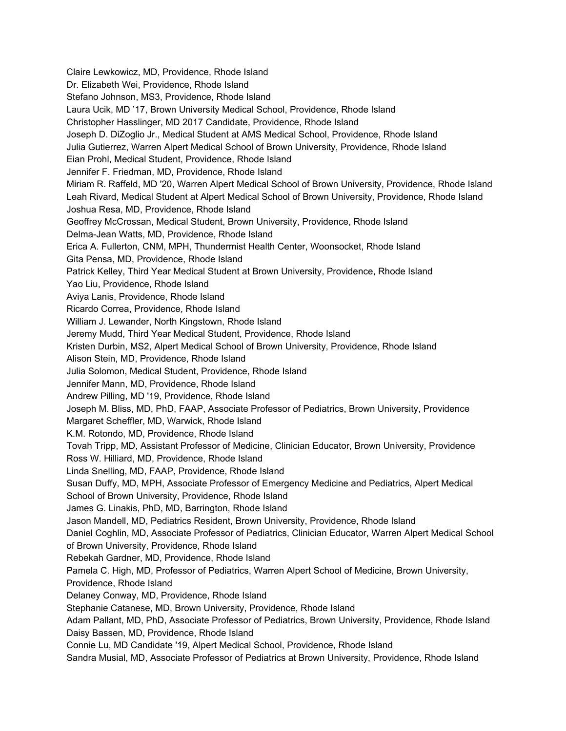Claire Lewkowicz, MD, Providence, Rhode Island Dr. Elizabeth Wei, Providence, Rhode Island Stefano Johnson, MS3, Providence, Rhode Island Laura Ucik, MD '17, Brown University Medical School, Providence, Rhode Island Christopher Hasslinger, MD 2017 Candidate, Providence, Rhode Island Joseph D. DiZoglio Jr., Medical Student at AMS Medical School, Providence, Rhode Island Julia Gutierrez, Warren Alpert Medical School of Brown University, Providence, Rhode Island Eian Prohl, Medical Student, Providence, Rhode Island Jennifer F. Friedman, MD, Providence, Rhode Island Miriam R. Raffeld, MD '20, Warren Alpert Medical School of Brown University, Providence, Rhode Island Leah Rivard, Medical Student at Alpert Medical School of Brown University, Providence, Rhode Island Joshua Resa, MD, Providence, Rhode Island Geoffrey McCrossan, Medical Student, Brown University, Providence, Rhode Island Delma-Jean Watts, MD, Providence, Rhode Island Erica A. Fullerton, CNM, MPH, Thundermist Health Center, Woonsocket, Rhode Island Gita Pensa, MD, Providence, Rhode Island Patrick Kelley, Third Year Medical Student at Brown University, Providence, Rhode Island Yao Liu, Providence, Rhode Island Aviya Lanis, Providence, Rhode Island Ricardo Correa, Providence, Rhode Island William J. Lewander, North Kingstown, Rhode Island Jeremy Mudd, Third Year Medical Student, Providence, Rhode Island Kristen Durbin, MS2, Alpert Medical School of Brown University, Providence, Rhode Island Alison Stein, MD, Providence, Rhode Island Julia Solomon, Medical Student, Providence, Rhode Island Jennifer Mann, MD, Providence, Rhode Island Andrew Pilling, MD '19, Providence, Rhode Island Joseph M. Bliss, MD, PhD, FAAP, Associate Professor of Pediatrics, Brown University, Providence Margaret Scheffler, MD, Warwick, Rhode Island K.M. Rotondo, MD, Providence, Rhode Island Tovah Tripp, MD, Assistant Professor of Medicine, Clinician Educator, Brown University, Providence Ross W. Hilliard, MD, Providence, Rhode Island Linda Snelling, MD, FAAP, Providence, Rhode Island Susan Duffy, MD, MPH, Associate Professor of Emergency Medicine and Pediatrics, Alpert Medical School of Brown University, Providence, Rhode Island James G. Linakis, PhD, MD, Barrington, Rhode Island Jason Mandell, MD, Pediatrics Resident, Brown University, Providence, Rhode Island Daniel Coghlin, MD, Associate Professor of Pediatrics, Clinician Educator, Warren Alpert Medical School of Brown University, Providence, Rhode Island Rebekah Gardner, MD, Providence, Rhode Island Pamela C. High, MD, Professor of Pediatrics, Warren Alpert School of Medicine, Brown University, Providence, Rhode Island Delaney Conway, MD, Providence, Rhode Island Stephanie Catanese, MD, Brown University, Providence, Rhode Island Adam Pallant, MD, PhD, Associate Professor of Pediatrics, Brown University, Providence, Rhode Island Daisy Bassen, MD, Providence, Rhode Island Connie Lu, MD Candidate '19, Alpert Medical School, Providence, Rhode Island Sandra Musial, MD, Associate Professor of Pediatrics at Brown University, Providence, Rhode Island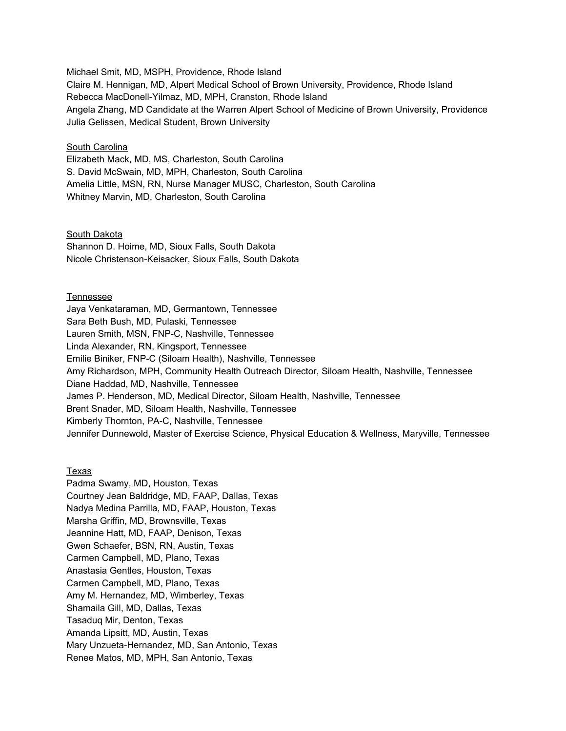Michael Smit, MD, MSPH, Providence, Rhode Island Claire M. Hennigan, MD, Alpert Medical School of Brown University, Providence, Rhode Island Rebecca MacDonell-Yilmaz, MD, MPH, Cranston, Rhode Island Angela Zhang, MD Candidate at the Warren Alpert School of Medicine of Brown University, Providence Julia Gelissen, Medical Student, Brown University

### South Carolina

Elizabeth Mack, MD, MS, Charleston, South Carolina S. David McSwain, MD, MPH, Charleston, South Carolina Amelia Little, MSN, RN, Nurse Manager MUSC, Charleston, South Carolina Whitney Marvin, MD, Charleston, South Carolina

South Dakota Shannon D. Hoime, MD, Sioux Falls, South Dakota Nicole Christenson-Keisacker, Sioux Falls, South Dakota

#### Tennessee

Jaya Venkataraman, MD, Germantown, Tennessee Sara Beth Bush, MD, Pulaski, Tennessee Lauren Smith, MSN, FNP-C, Nashville, Tennessee Linda Alexander, RN, Kingsport, Tennessee Emilie Biniker, FNP-C (Siloam Health), Nashville, Tennessee Amy Richardson, MPH, Community Health Outreach Director, Siloam Health, Nashville, Tennessee Diane Haddad, MD, Nashville, Tennessee James P. Henderson, MD, Medical Director, Siloam Health, Nashville, Tennessee Brent Snader, MD, Siloam Health, Nashville, Tennessee Kimberly Thornton, PA-C, Nashville, Tennessee Jennifer Dunnewold, Master of Exercise Science, Physical Education & Wellness, Maryville, Tennessee

## Texas

Padma Swamy, MD, Houston, Texas Courtney Jean Baldridge, MD, FAAP, Dallas, Texas Nadya Medina Parrilla, MD, FAAP, Houston, Texas Marsha Griffin, MD, Brownsville, Texas Jeannine Hatt, MD, FAAP, Denison, Texas Gwen Schaefer, BSN, RN, Austin, Texas Carmen Campbell, MD, Plano, Texas Anastasia Gentles, Houston, Texas Carmen Campbell, MD, Plano, Texas Amy M. Hernandez, MD, Wimberley, Texas Shamaila Gill, MD, Dallas, Texas Tasaduq Mir, Denton, Texas Amanda Lipsitt, MD, Austin, Texas Mary Unzueta-Hernandez, MD, San Antonio, Texas Renee Matos, MD, MPH, San Antonio, Texas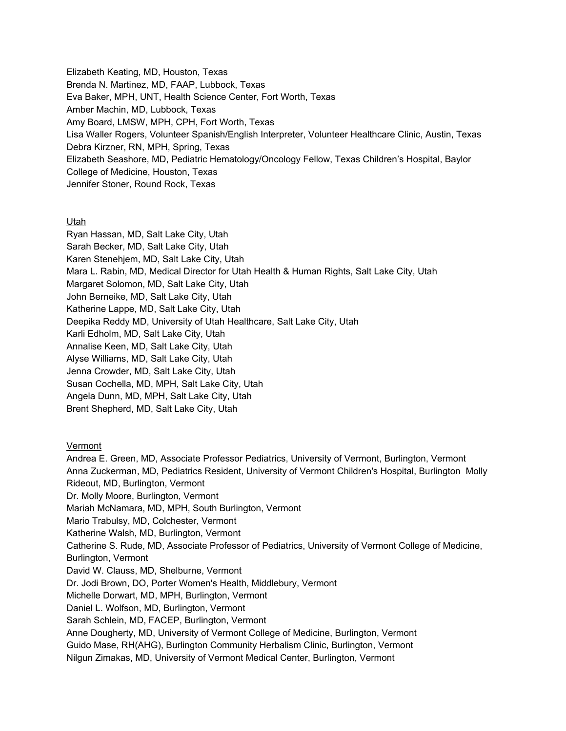Elizabeth Keating, MD, Houston, Texas Brenda N. Martinez, MD, FAAP, Lubbock, Texas Eva Baker, MPH, UNT, Health Science Center, Fort Worth, Texas Amber Machin, MD, Lubbock, Texas Amy Board, LMSW, MPH, CPH, Fort Worth, Texas Lisa Waller Rogers, Volunteer Spanish/English Interpreter, Volunteer Healthcare Clinic, Austin, Texas Debra Kirzner, RN, MPH, Spring, Texas Elizabeth Seashore, MD, Pediatric Hematology/Oncology Fellow, Texas Children's Hospital, Baylor College of Medicine, Houston, Texas Jennifer Stoner, Round Rock, Texas

# Utah

Ryan Hassan, MD, Salt Lake City, Utah Sarah Becker, MD, Salt Lake City, Utah Karen Stenehjem, MD, Salt Lake City, Utah Mara L. Rabin, MD, Medical Director for Utah Health & Human Rights, Salt Lake City, Utah Margaret Solomon, MD, Salt Lake City, Utah John Berneike, MD, Salt Lake City, Utah Katherine Lappe, MD, Salt Lake City, Utah Deepika Reddy MD, University of Utah Healthcare, Salt Lake City, Utah Karli Edholm, MD, Salt Lake City, Utah Annalise Keen, MD, Salt Lake City, Utah Alyse Williams, MD, Salt Lake City, Utah Jenna Crowder, MD, Salt Lake City, Utah Susan Cochella, MD, MPH, Salt Lake City, Utah Angela Dunn, MD, MPH, Salt Lake City, Utah Brent Shepherd, MD, Salt Lake City, Utah

# Vermont

Andrea E. Green, MD, Associate Professor Pediatrics, University of Vermont, Burlington, Vermont Anna Zuckerman, MD, Pediatrics Resident, University of Vermont Children's Hospital, Burlington Molly Rideout, MD, Burlington, Vermont Dr. Molly Moore, Burlington, Vermont Mariah McNamara, MD, MPH, South Burlington, Vermont Mario Trabulsy, MD, Colchester, Vermont Katherine Walsh, MD, Burlington, Vermont Catherine S. Rude, MD, Associate Professor of Pediatrics, University of Vermont College of Medicine, Burlington, Vermont David W. Clauss, MD, Shelburne, Vermont Dr. Jodi Brown, DO, Porter Women's Health, Middlebury, Vermont Michelle Dorwart, MD, MPH, Burlington, Vermont Daniel L. Wolfson, MD, Burlington, Vermont Sarah Schlein, MD, FACEP, Burlington, Vermont Anne Dougherty, MD, University of Vermont College of Medicine, Burlington, Vermont Guido Mase, RH(AHG), Burlington Community Herbalism Clinic, Burlington, Vermont Nilgun Zimakas, MD, University of Vermont Medical Center, Burlington, Vermont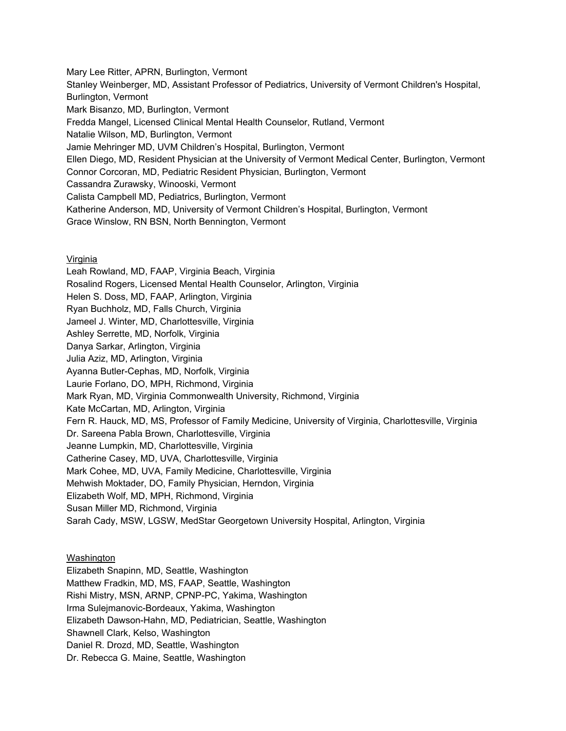Mary Lee Ritter, APRN, Burlington, Vermont Stanley Weinberger, MD, Assistant Professor of Pediatrics, University of Vermont Children's Hospital, Burlington, Vermont Mark Bisanzo, MD, Burlington, Vermont Fredda Mangel, Licensed Clinical Mental Health Counselor, Rutland, Vermont Natalie Wilson, MD, Burlington, Vermont Jamie Mehringer MD, UVM Children's Hospital, Burlington, Vermont Ellen Diego, MD, Resident Physician at the University of Vermont Medical Center, Burlington, Vermont Connor Corcoran, MD, Pediatric Resident Physician, Burlington, Vermont Cassandra Zurawsky, Winooski, Vermont Calista Campbell MD, Pediatrics, Burlington, Vermont Katherine Anderson, MD, University of Vermont Children's Hospital, Burlington, Vermont Grace Winslow, RN BSN, North Bennington, Vermont

## **Virginia**

Leah Rowland, MD, FAAP, Virginia Beach, Virginia Rosalind Rogers, Licensed Mental Health Counselor, Arlington, Virginia Helen S. Doss, MD, FAAP, Arlington, Virginia Ryan Buchholz, MD, Falls Church, Virginia Jameel J. Winter, MD, Charlottesville, Virginia Ashley Serrette, MD, Norfolk, Virginia Danya Sarkar, Arlington, Virginia Julia Aziz, MD, Arlington, Virginia Ayanna Butler-Cephas, MD, Norfolk, Virginia Laurie Forlano, DO, MPH, Richmond, Virginia Mark Ryan, MD, Virginia Commonwealth University, Richmond, Virginia Kate McCartan, MD, Arlington, Virginia Fern R. Hauck, MD, MS, Professor of Family Medicine, University of Virginia, Charlottesville, Virginia Dr. Sareena Pabla Brown, Charlottesville, Virginia Jeanne Lumpkin, MD, Charlottesville, Virginia Catherine Casey, MD, UVA, Charlottesville, Virginia Mark Cohee, MD, UVA, Family Medicine, Charlottesville, Virginia Mehwish Moktader, DO, Family Physician, Herndon, Virginia Elizabeth Wolf, MD, MPH, Richmond, Virginia Susan Miller MD, Richmond, Virginia Sarah Cady, MSW, LGSW, MedStar Georgetown University Hospital, Arlington, Virginia

# **Washington**

Elizabeth Snapinn, MD, Seattle, Washington Matthew Fradkin, MD, MS, FAAP, Seattle, Washington Rishi Mistry, MSN, ARNP, CPNP-PC, Yakima, Washington Irma Sulejmanovic-Bordeaux, Yakima, Washington Elizabeth Dawson-Hahn, MD, Pediatrician, Seattle, Washington Shawnell Clark, Kelso, Washington Daniel R. Drozd, MD, Seattle, Washington Dr. Rebecca G. Maine, Seattle, Washington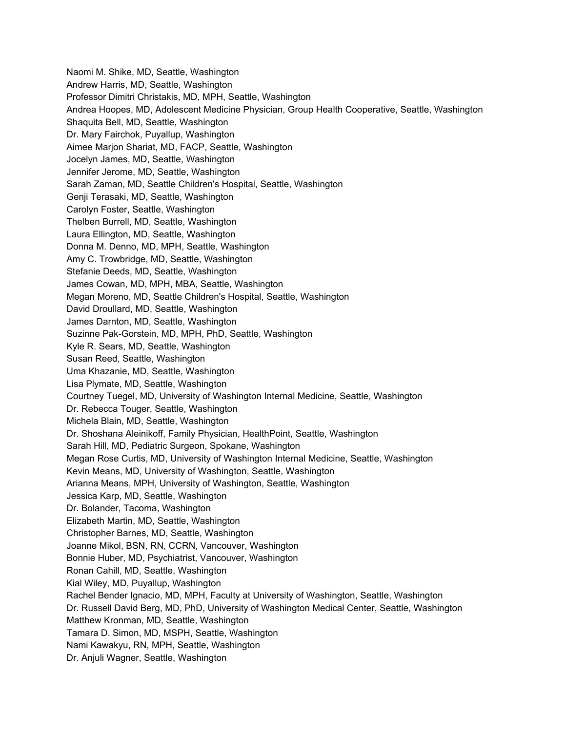Naomi M. Shike, MD, Seattle, Washington Andrew Harris, MD, Seattle, Washington Professor Dimitri Christakis, MD, MPH, Seattle, Washington Andrea Hoopes, MD, Adolescent Medicine Physician, Group Health Cooperative, Seattle, Washington Shaquita Bell, MD, Seattle, Washington Dr. Mary Fairchok, Puyallup, Washington Aimee Marjon Shariat, MD, FACP, Seattle, Washington Jocelyn James, MD, Seattle, Washington Jennifer Jerome, MD, Seattle, Washington Sarah Zaman, MD, Seattle Children's Hospital, Seattle, Washington Genji Terasaki, MD, Seattle, Washington Carolyn Foster, Seattle, Washington Thelben Burrell, MD, Seattle, Washington Laura Ellington, MD, Seattle, Washington Donna M. Denno, MD, MPH, Seattle, Washington Amy C. Trowbridge, MD, Seattle, Washington Stefanie Deeds, MD, Seattle, Washington James Cowan, MD, MPH, MBA, Seattle, Washington Megan Moreno, MD, Seattle Children's Hospital, Seattle, Washington David Droullard, MD, Seattle, Washington James Darnton, MD, Seattle, Washington Suzinne Pak-Gorstein, MD, MPH, PhD, Seattle, Washington Kyle R. Sears, MD, Seattle, Washington Susan Reed, Seattle, Washington Uma Khazanie, MD, Seattle, Washington Lisa Plymate, MD, Seattle, Washington Courtney Tuegel, MD, University of Washington Internal Medicine, Seattle, Washington Dr. Rebecca Touger, Seattle, Washington Michela Blain, MD, Seattle, Washington Dr. Shoshana Aleinikoff, Family Physician, HealthPoint, Seattle, Washington Sarah Hill, MD, Pediatric Surgeon, Spokane, Washington Megan Rose Curtis, MD, University of Washington Internal Medicine, Seattle, Washington Kevin Means, MD, University of Washington, Seattle, Washington Arianna Means, MPH, University of Washington, Seattle, Washington Jessica Karp, MD, Seattle, Washington Dr. Bolander, Tacoma, Washington Elizabeth Martin, MD, Seattle, Washington Christopher Barnes, MD, Seattle, Washington Joanne Mikol, BSN, RN, CCRN, Vancouver, Washington Bonnie Huber, MD, Psychiatrist, Vancouver, Washington Ronan Cahill, MD, Seattle, Washington Kial Wiley, MD, Puyallup, Washington Rachel Bender Ignacio, MD, MPH, Faculty at University of Washington, Seattle, Washington Dr. Russell David Berg, MD, PhD, University of Washington Medical Center, Seattle, Washington Matthew Kronman, MD, Seattle, Washington Tamara D. Simon, MD, MSPH, Seattle, Washington Nami Kawakyu, RN, MPH, Seattle, Washington Dr. Anjuli Wagner, Seattle, Washington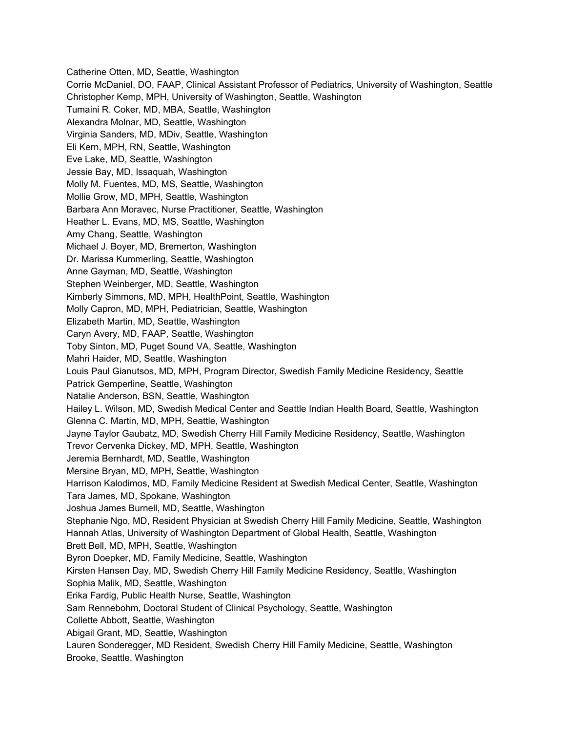Catherine Otten, MD, Seattle, Washington Corrie McDaniel, DO, FAAP, Clinical Assistant Professor of Pediatrics, University of Washington, Seattle Christopher Kemp, MPH, University of Washington, Seattle, Washington Tumaini R. Coker, MD, MBA, Seattle, Washington Alexandra Molnar, MD, Seattle, Washington Virginia Sanders, MD, MDiv, Seattle, Washington Eli Kern, MPH, RN, Seattle, Washington Eve Lake, MD, Seattle, Washington Jessie Bay, MD, Issaquah, Washington Molly M. Fuentes, MD, MS, Seattle, Washington Mollie Grow, MD, MPH, Seattle, Washington Barbara Ann Moravec, Nurse Practitioner, Seattle, Washington Heather L. Evans, MD, MS, Seattle, Washington Amy Chang, Seattle, Washington Michael J. Boyer, MD, Bremerton, Washington Dr. Marissa Kummerling, Seattle, Washington Anne Gayman, MD, Seattle, Washington Stephen Weinberger, MD, Seattle, Washington Kimberly Simmons, MD, MPH, HealthPoint, Seattle, Washington Molly Capron, MD, MPH, Pediatrician, Seattle, Washington Elizabeth Martin, MD, Seattle, Washington Caryn Avery, MD, FAAP, Seattle, Washington Toby Sinton, MD, Puget Sound VA, Seattle, Washington Mahri Haider, MD, Seattle, Washington Louis Paul Gianutsos, MD, MPH, Program Director, Swedish Family Medicine Residency, Seattle Patrick Gemperline, Seattle, Washington Natalie Anderson, BSN, Seattle, Washington Hailey L. Wilson, MD, Swedish Medical Center and Seattle Indian Health Board, Seattle, Washington Glenna C. Martin, MD, MPH, Seattle, Washington Jayne Taylor Gaubatz, MD, Swedish Cherry Hill Family Medicine Residency, Seattle, Washington Trevor Cervenka Dickey, MD, MPH, Seattle, Washington Jeremia Bernhardt, MD, Seattle, Washington Mersine Bryan, MD, MPH, Seattle, Washington Harrison Kalodimos, MD, Family Medicine Resident at Swedish Medical Center, Seattle, Washington Tara James, MD, Spokane, Washington Joshua James Burnell, MD, Seattle, Washington Stephanie Ngo, MD, Resident Physician at Swedish Cherry Hill Family Medicine, Seattle, Washington Hannah Atlas, University of Washington Department of Global Health, Seattle, Washington Brett Bell, MD, MPH, Seattle, Washington Byron Doepker, MD, Family Medicine, Seattle, Washington Kirsten Hansen Day, MD, Swedish Cherry Hill Family Medicine Residency, Seattle, Washington Sophia Malik, MD, Seattle, Washington Erika Fardig, Public Health Nurse, Seattle, Washington Sam Rennebohm, Doctoral Student of Clinical Psychology, Seattle, Washington Collette Abbott, Seattle, Washington Abigail Grant, MD, Seattle, Washington Lauren Sonderegger, MD Resident, Swedish Cherry Hill Family Medicine, Seattle, Washington Brooke, Seattle, Washington